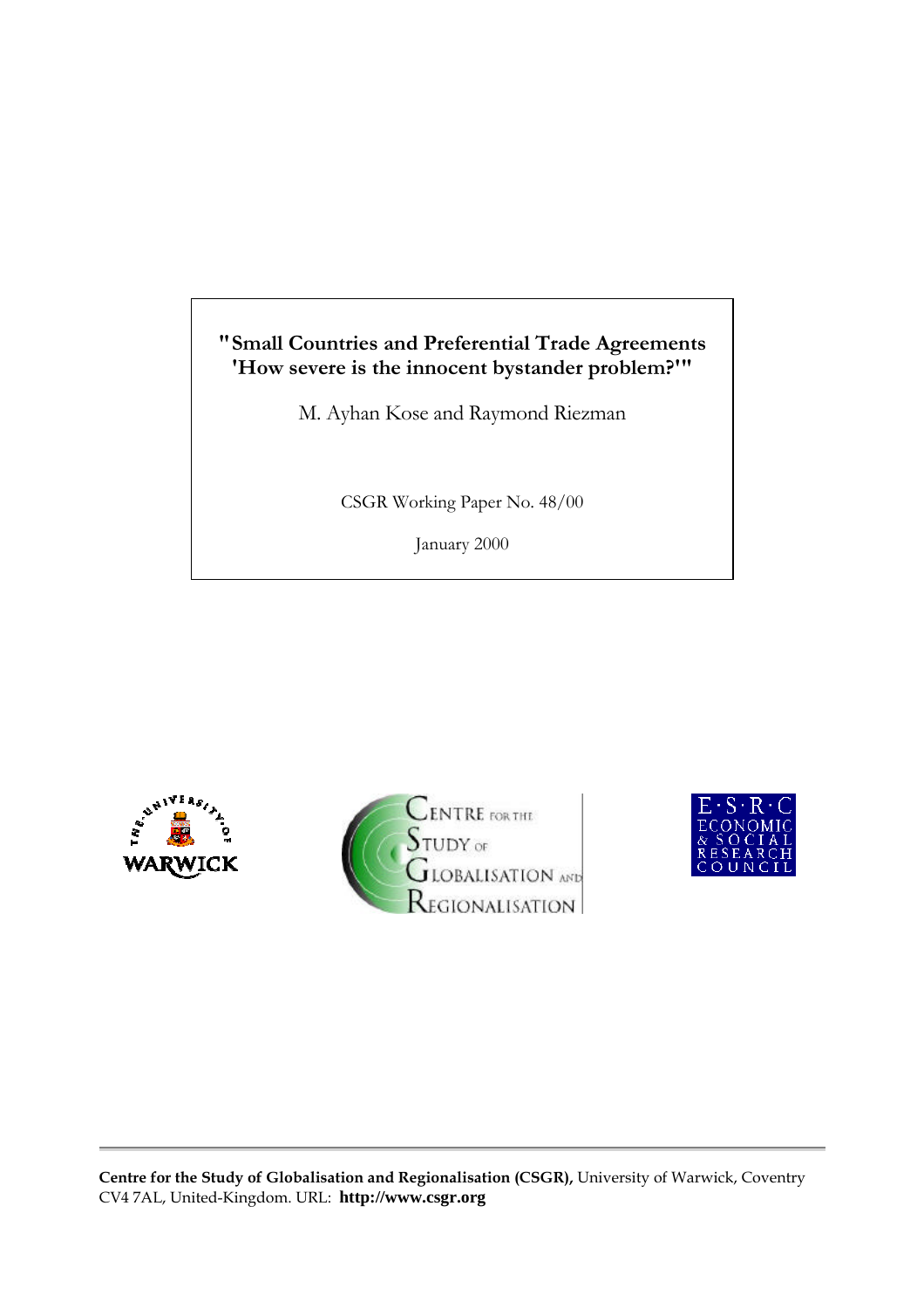## **"Small Countries and Preferential Trade Agreements 'How severe is the innocent bystander problem?'"**

M. Ayhan Kose and Raymond Riezman

CSGR Working Paper No. 48/00

January 2000





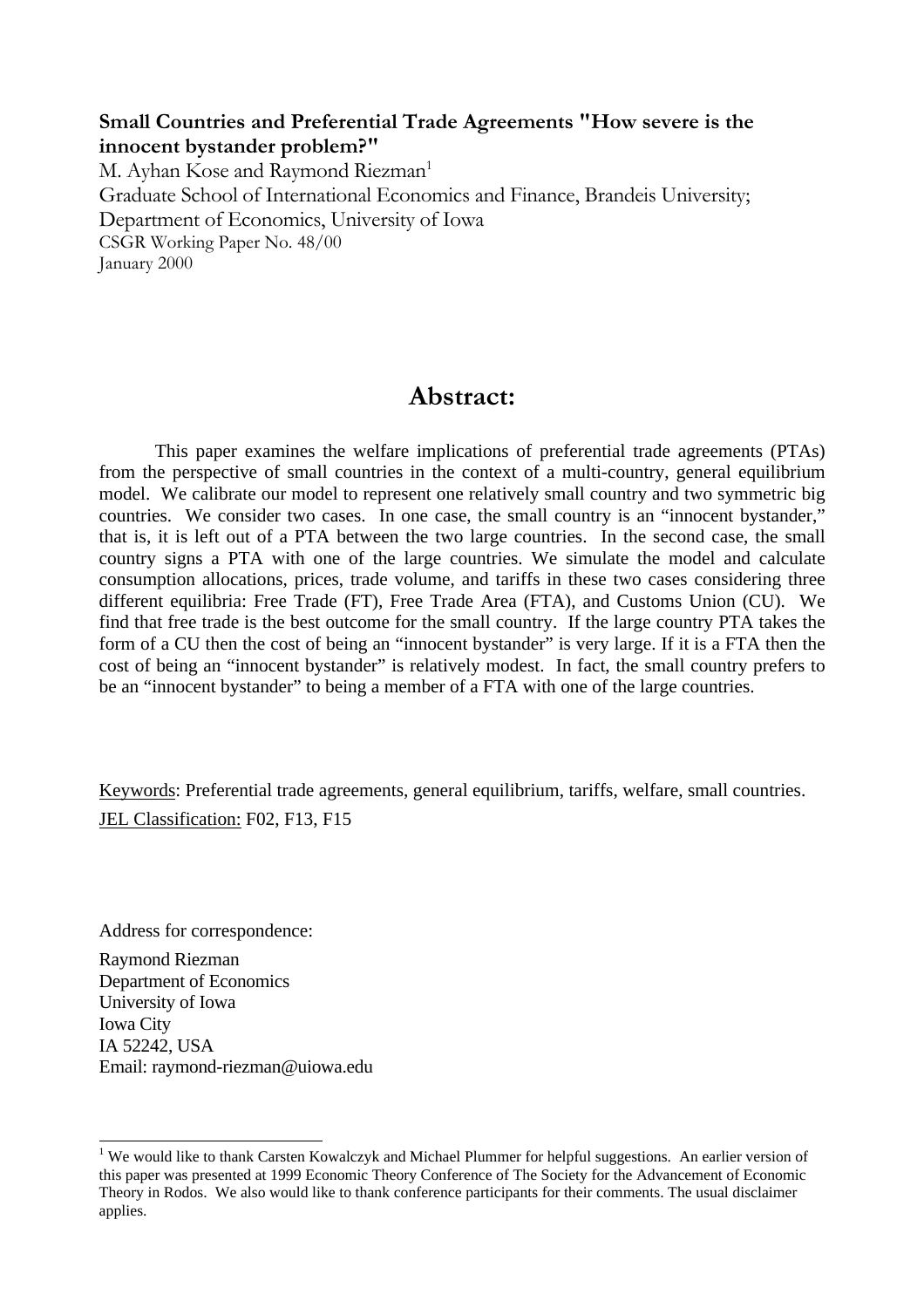### **Small Countries and Preferential Trade Agreements "How severe is the innocent bystander problem?"**

M. Ayhan Kose and Raymond Riezman<sup>1</sup> Graduate School of International Economics and Finance, Brandeis University; Department of Economics, University of Iowa CSGR Working Paper No. 48/00 January 2000

# **Abstract:**

This paper examines the welfare implications of preferential trade agreements (PTAs) from the perspective of small countries in the context of a multi-country, general equilibrium model. We calibrate our model to represent one relatively small country and two symmetric big countries. We consider two cases. In one case, the small country is an "innocent bystander," that is, it is left out of a PTA between the two large countries. In the second case, the small country signs a PTA with one of the large countries. We simulate the model and calculate consumption allocations, prices, trade volume, and tariffs in these two cases considering three different equilibria: Free Trade (FT), Free Trade Area (FTA), and Customs Union (CU). We find that free trade is the best outcome for the small country. If the large country PTA takes the form of a CU then the cost of being an "innocent bystander" is very large. If it is a FTA then the cost of being an "innocent bystander" is relatively modest. In fact, the small country prefers to be an "innocent bystander" to being a member of a FTA with one of the large countries.

Keywords: Preferential trade agreements, general equilibrium, tariffs, welfare, small countries. JEL Classification: F02, F13, F15

Address for correspondence:

 $\overline{a}$ 

Raymond Riezman Department of Economics University of Iowa Iowa City IA 52242, USA Email: raymond-riezman@uiowa.edu

<sup>&</sup>lt;sup>1</sup> We would like to thank Carsten Kowalczyk and Michael Plummer for helpful suggestions. An earlier version of this paper was presented at 1999 Economic Theory Conference of The Society for the Advancement of Economic Theory in Rodos. We also would like to thank conference participants for their comments. The usual disclaimer applies.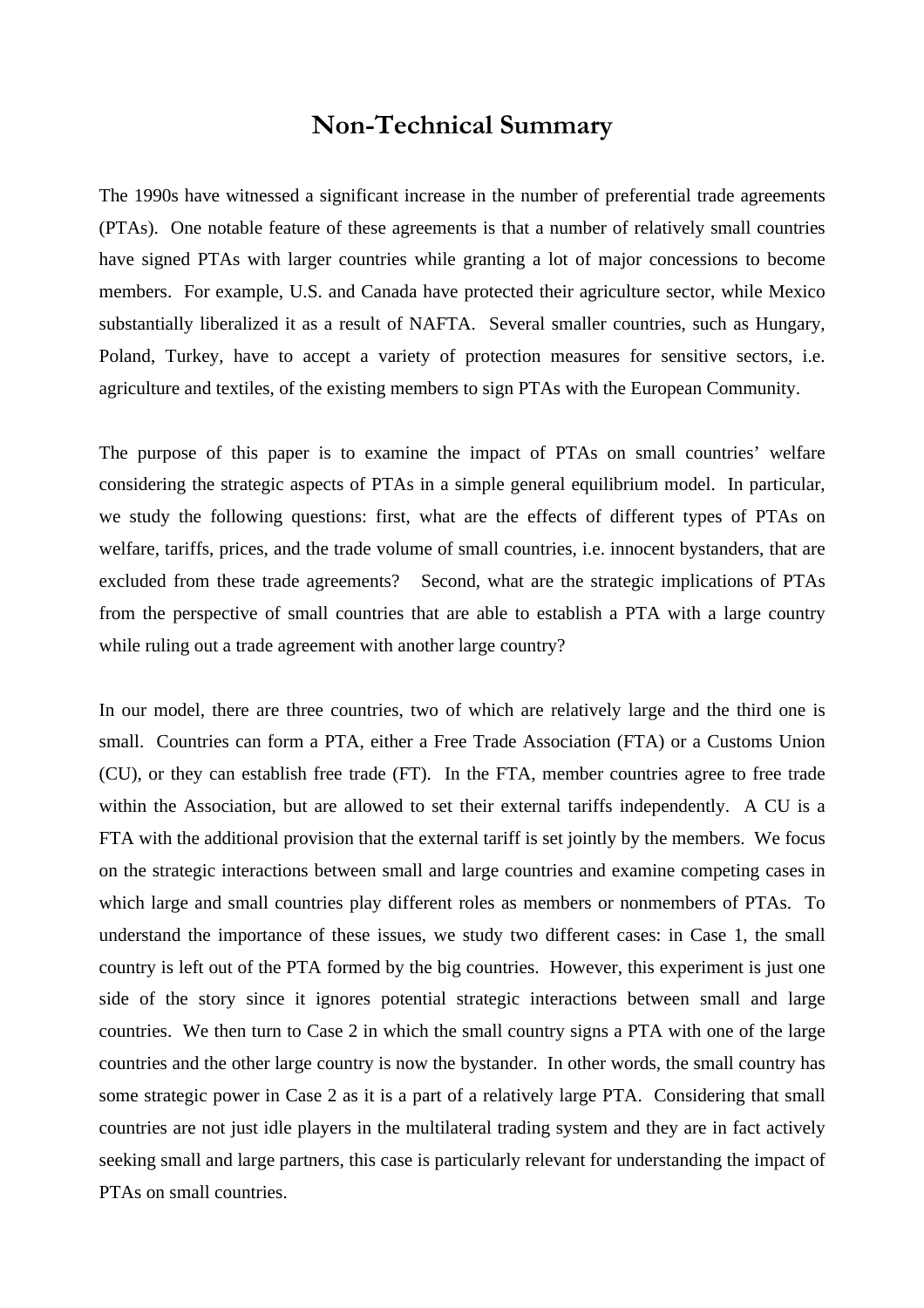## **Non-Technical Summary**

The 1990s have witnessed a significant increase in the number of preferential trade agreements (PTAs). One notable feature of these agreements is that a number of relatively small countries have signed PTAs with larger countries while granting a lot of major concessions to become members. For example, U.S. and Canada have protected their agriculture sector, while Mexico substantially liberalized it as a result of NAFTA. Several smaller countries, such as Hungary, Poland, Turkey, have to accept a variety of protection measures for sensitive sectors, i.e. agriculture and textiles, of the existing members to sign PTAs with the European Community.

The purpose of this paper is to examine the impact of PTAs on small countries' welfare considering the strategic aspects of PTAs in a simple general equilibrium model. In particular, we study the following questions: first, what are the effects of different types of PTAs on welfare, tariffs, prices, and the trade volume of small countries, i.e. innocent bystanders, that are excluded from these trade agreements? Second, what are the strategic implications of PTAs from the perspective of small countries that are able to establish a PTA with a large country while ruling out a trade agreement with another large country?

In our model, there are three countries, two of which are relatively large and the third one is small. Countries can form a PTA, either a Free Trade Association (FTA) or a Customs Union (CU), or they can establish free trade (FT). In the FTA, member countries agree to free trade within the Association, but are allowed to set their external tariffs independently. A CU is a FTA with the additional provision that the external tariff is set jointly by the members. We focus on the strategic interactions between small and large countries and examine competing cases in which large and small countries play different roles as members or nonmembers of PTAs. To understand the importance of these issues, we study two different cases: in Case 1, the small country is left out of the PTA formed by the big countries. However, this experiment is just one side of the story since it ignores potential strategic interactions between small and large countries. We then turn to Case 2 in which the small country signs a PTA with one of the large countries and the other large country is now the bystander. In other words, the small country has some strategic power in Case 2 as it is a part of a relatively large PTA. Considering that small countries are not just idle players in the multilateral trading system and they are in fact actively seeking small and large partners, this case is particularly relevant for understanding the impact of PTAs on small countries.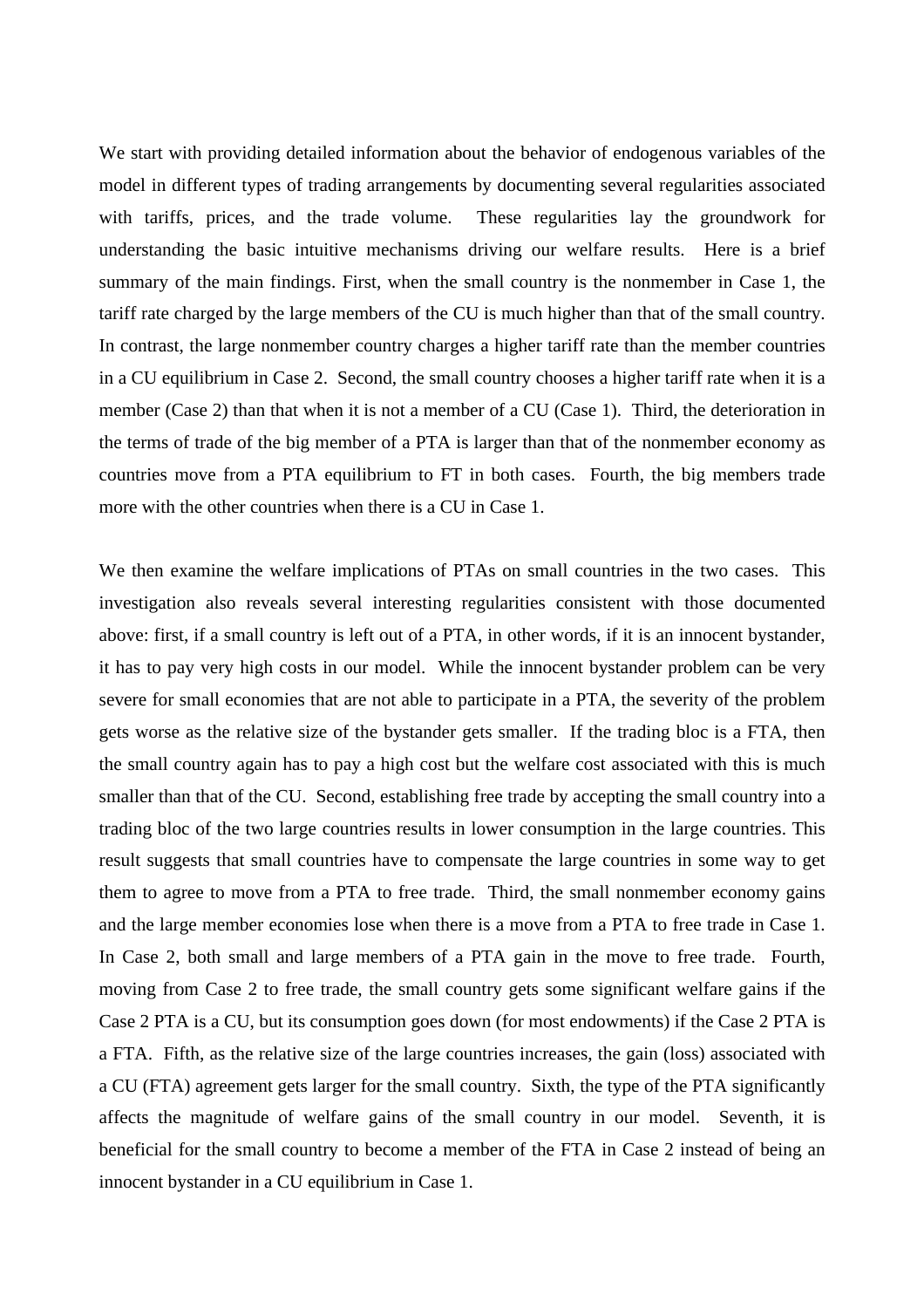We start with providing detailed information about the behavior of endogenous variables of the model in different types of trading arrangements by documenting several regularities associated with tariffs, prices, and the trade volume. These regularities lay the groundwork for understanding the basic intuitive mechanisms driving our welfare results. Here is a brief summary of the main findings. First, when the small country is the nonmember in Case 1, the tariff rate charged by the large members of the CU is much higher than that of the small country. In contrast, the large nonmember country charges a higher tariff rate than the member countries in a CU equilibrium in Case 2. Second, the small country chooses a higher tariff rate when it is a member (Case 2) than that when it is not a member of a CU (Case 1). Third, the deterioration in the terms of trade of the big member of a PTA is larger than that of the nonmember economy as countries move from a PTA equilibrium to FT in both cases. Fourth, the big members trade more with the other countries when there is a CU in Case 1.

We then examine the welfare implications of PTAs on small countries in the two cases. This investigation also reveals several interesting regularities consistent with those documented above: first, if a small country is left out of a PTA, in other words, if it is an innocent bystander, it has to pay very high costs in our model. While the innocent bystander problem can be very severe for small economies that are not able to participate in a PTA, the severity of the problem gets worse as the relative size of the bystander gets smaller. If the trading bloc is a FTA, then the small country again has to pay a high cost but the welfare cost associated with this is much smaller than that of the CU. Second, establishing free trade by accepting the small country into a trading bloc of the two large countries results in lower consumption in the large countries. This result suggests that small countries have to compensate the large countries in some way to get them to agree to move from a PTA to free trade. Third, the small nonmember economy gains and the large member economies lose when there is a move from a PTA to free trade in Case 1. In Case 2, both small and large members of a PTA gain in the move to free trade. Fourth, moving from Case 2 to free trade, the small country gets some significant welfare gains if the Case 2 PTA is a CU, but its consumption goes down (for most endowments) if the Case 2 PTA is a FTA. Fifth, as the relative size of the large countries increases, the gain (loss) associated with a CU (FTA) agreement gets larger for the small country. Sixth, the type of the PTA significantly affects the magnitude of welfare gains of the small country in our model. Seventh, it is beneficial for the small country to become a member of the FTA in Case 2 instead of being an innocent bystander in a CU equilibrium in Case 1.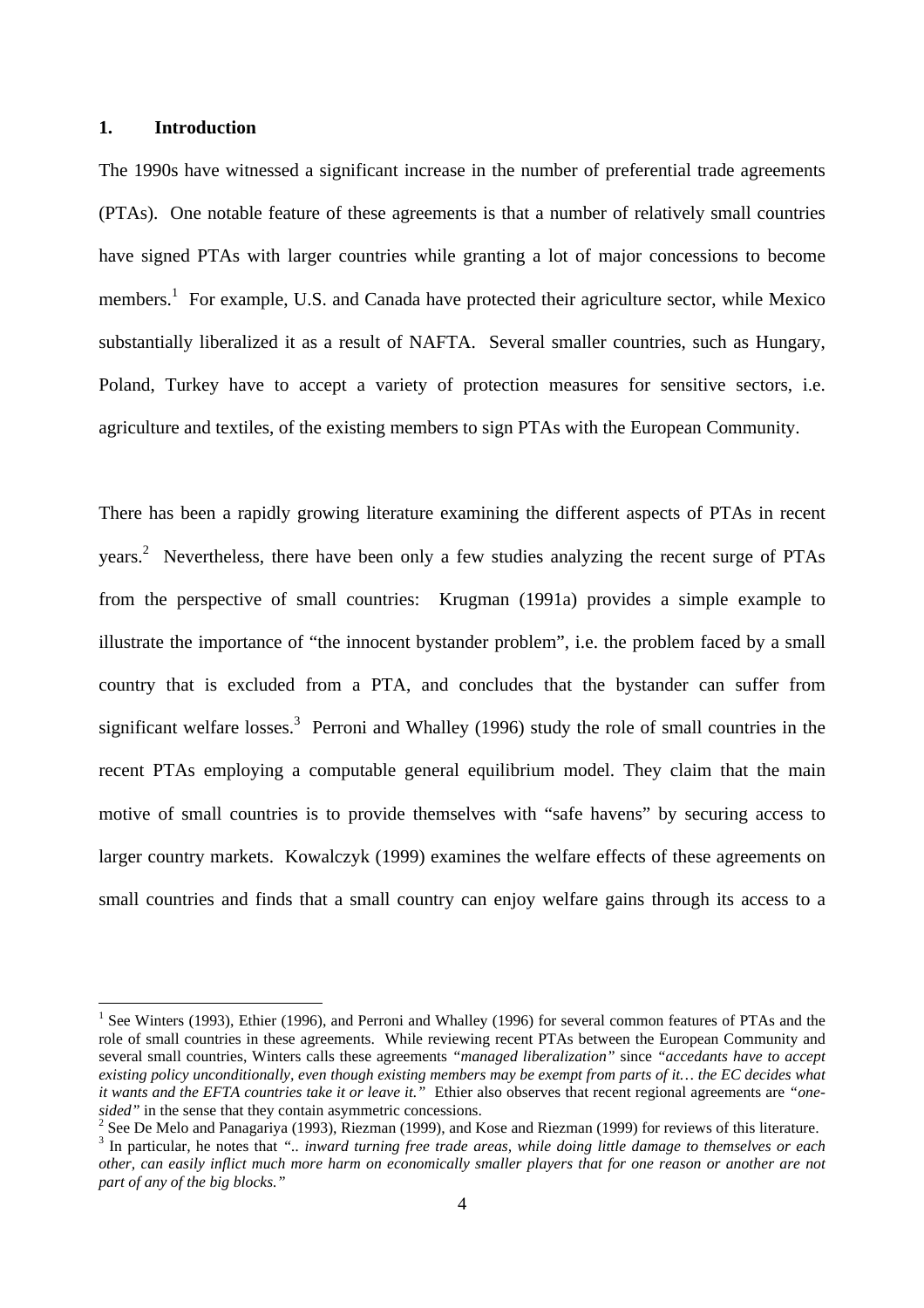#### **1. Introduction**

The 1990s have witnessed a significant increase in the number of preferential trade agreements (PTAs). One notable feature of these agreements is that a number of relatively small countries have signed PTAs with larger countries while granting a lot of major concessions to become members.<sup>1</sup> For example, U.S. and Canada have protected their agriculture sector, while Mexico substantially liberalized it as a result of NAFTA. Several smaller countries, such as Hungary, Poland, Turkey have to accept a variety of protection measures for sensitive sectors, i.e. agriculture and textiles, of the existing members to sign PTAs with the European Community.

There has been a rapidly growing literature examining the different aspects of PTAs in recent years.<sup>2</sup> Nevertheless, there have been only a few studies analyzing the recent surge of PTAs from the perspective of small countries: Krugman (1991a) provides a simple example to illustrate the importance of "the innocent bystander problem", i.e. the problem faced by a small country that is excluded from a PTA, and concludes that the bystander can suffer from significant welfare losses.<sup>3</sup> Perroni and Whalley (1996) study the role of small countries in the recent PTAs employing a computable general equilibrium model. They claim that the main motive of small countries is to provide themselves with "safe havens" by securing access to larger country markets. Kowalczyk (1999) examines the welfare effects of these agreements on small countries and finds that a small country can enjoy welfare gains through its access to a

<sup>&</sup>lt;sup>1</sup> See Winters (1993), Ethier (1996), and Perroni and Whalley (1996) for several common features of PTAs and the role of small countries in these agreements. While reviewing recent PTAs between the European Community and several small countries, Winters calls these agreements *"managed liberalization"* since *"accedants have to accept existing policy unconditionally, even though existing members may be exempt from parts of it… the EC decides what it wants and the EFTA countries take it or leave it."* Ethier also observes that recent regional agreements are *"onesided"* in the sense that they contain asymmetric concessions.

<sup>&</sup>lt;sup>2</sup> See De Melo and Panagariya (1993), Riezman (1999), and Kose and Riezman (1999) for reviews of this literature.

<sup>3</sup> In particular, he notes that *".. inward turning free trade areas, while doing little damage to themselves or each other, can easily inflict much more harm on economically smaller players that for one reason or another are not part of any of the big blocks."*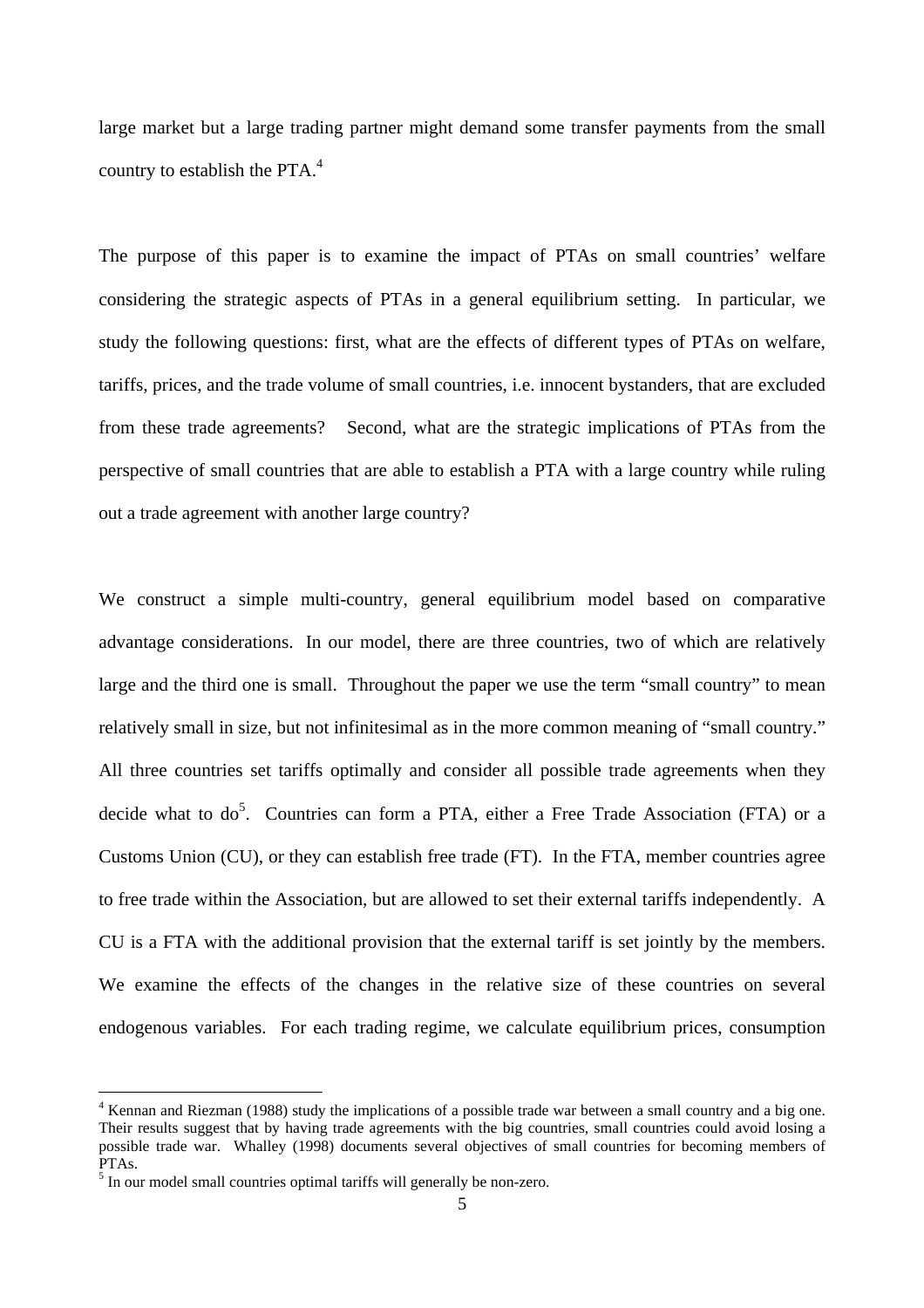large market but a large trading partner might demand some transfer payments from the small country to establish the PTA. $4$ 

The purpose of this paper is to examine the impact of PTAs on small countries' welfare considering the strategic aspects of PTAs in a general equilibrium setting. In particular, we study the following questions: first, what are the effects of different types of PTAs on welfare, tariffs, prices, and the trade volume of small countries, i.e. innocent bystanders, that are excluded from these trade agreements? Second, what are the strategic implications of PTAs from the perspective of small countries that are able to establish a PTA with a large country while ruling out a trade agreement with another large country?

We construct a simple multi-country, general equilibrium model based on comparative advantage considerations. In our model, there are three countries, two of which are relatively large and the third one is small. Throughout the paper we use the term "small country" to mean relatively small in size, but not infinitesimal as in the more common meaning of "small country." All three countries set tariffs optimally and consider all possible trade agreements when they decide what to do<sup>5</sup>. Countries can form a PTA, either a Free Trade Association (FTA) or a Customs Union (CU), or they can establish free trade (FT). In the FTA, member countries agree to free trade within the Association, but are allowed to set their external tariffs independently. A CU is a FTA with the additional provision that the external tariff is set jointly by the members. We examine the effects of the changes in the relative size of these countries on several endogenous variables. For each trading regime, we calculate equilibrium prices, consumption

 $\overline{a}$ 

<sup>&</sup>lt;sup>4</sup> Kennan and Riezman (1988) study the implications of a possible trade war between a small country and a big one. Their results suggest that by having trade agreements with the big countries, small countries could avoid losing a possible trade war. Whalley (1998) documents several objectives of small countries for becoming members of PTAs.

<sup>&</sup>lt;sup>5</sup> In our model small countries optimal tariffs will generally be non-zero.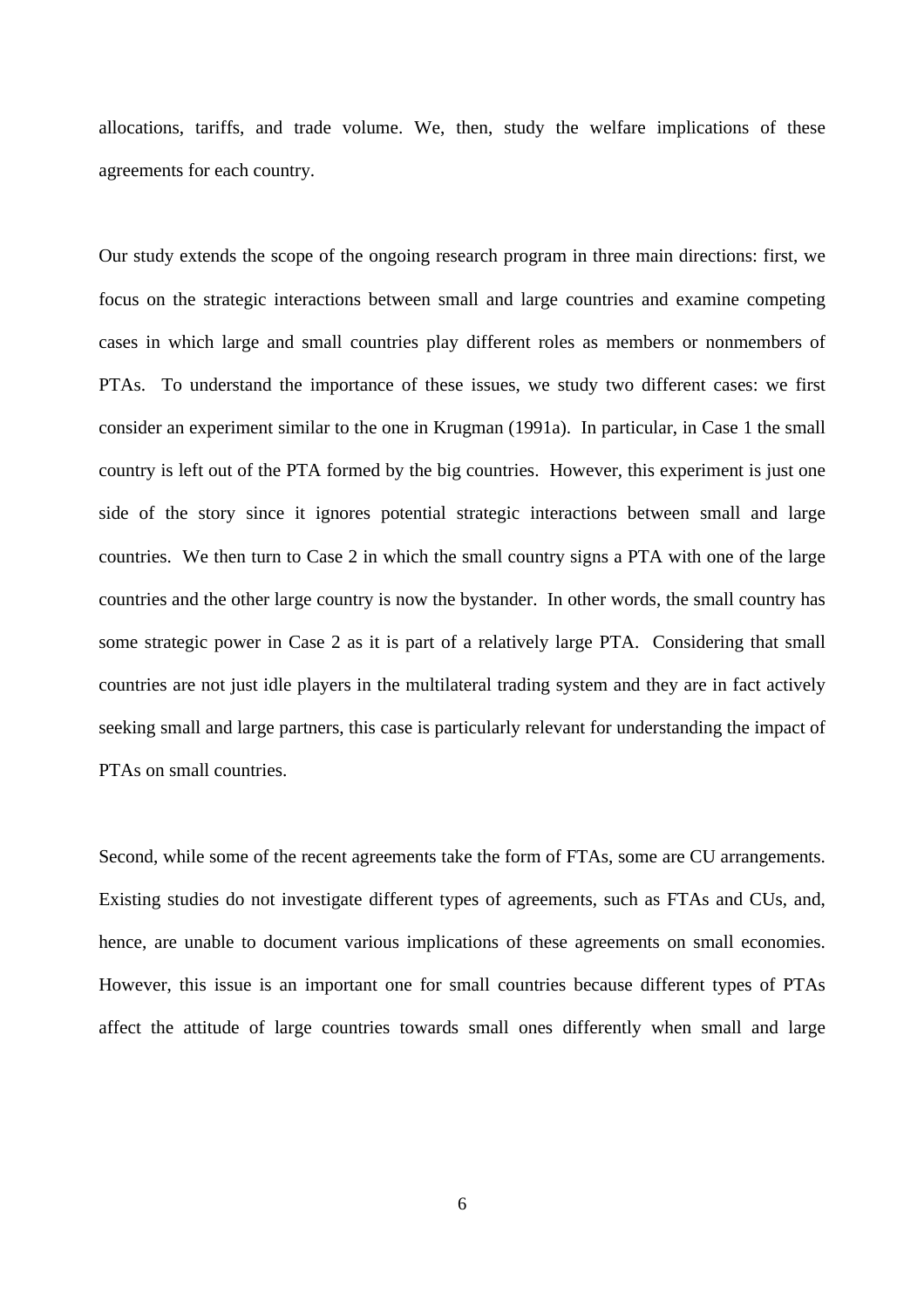allocations, tariffs, and trade volume. We, then, study the welfare implications of these agreements for each country.

Our study extends the scope of the ongoing research program in three main directions: first, we focus on the strategic interactions between small and large countries and examine competing cases in which large and small countries play different roles as members or nonmembers of PTAs. To understand the importance of these issues, we study two different cases: we first consider an experiment similar to the one in Krugman (1991a). In particular, in Case 1 the small country is left out of the PTA formed by the big countries. However, this experiment is just one side of the story since it ignores potential strategic interactions between small and large countries. We then turn to Case 2 in which the small country signs a PTA with one of the large countries and the other large country is now the bystander. In other words, the small country has some strategic power in Case 2 as it is part of a relatively large PTA. Considering that small countries are not just idle players in the multilateral trading system and they are in fact actively seeking small and large partners, this case is particularly relevant for understanding the impact of PTAs on small countries.

Second, while some of the recent agreements take the form of FTAs, some are CU arrangements. Existing studies do not investigate different types of agreements, such as FTAs and CUs, and, hence, are unable to document various implications of these agreements on small economies. However, this issue is an important one for small countries because different types of PTAs affect the attitude of large countries towards small ones differently when small and large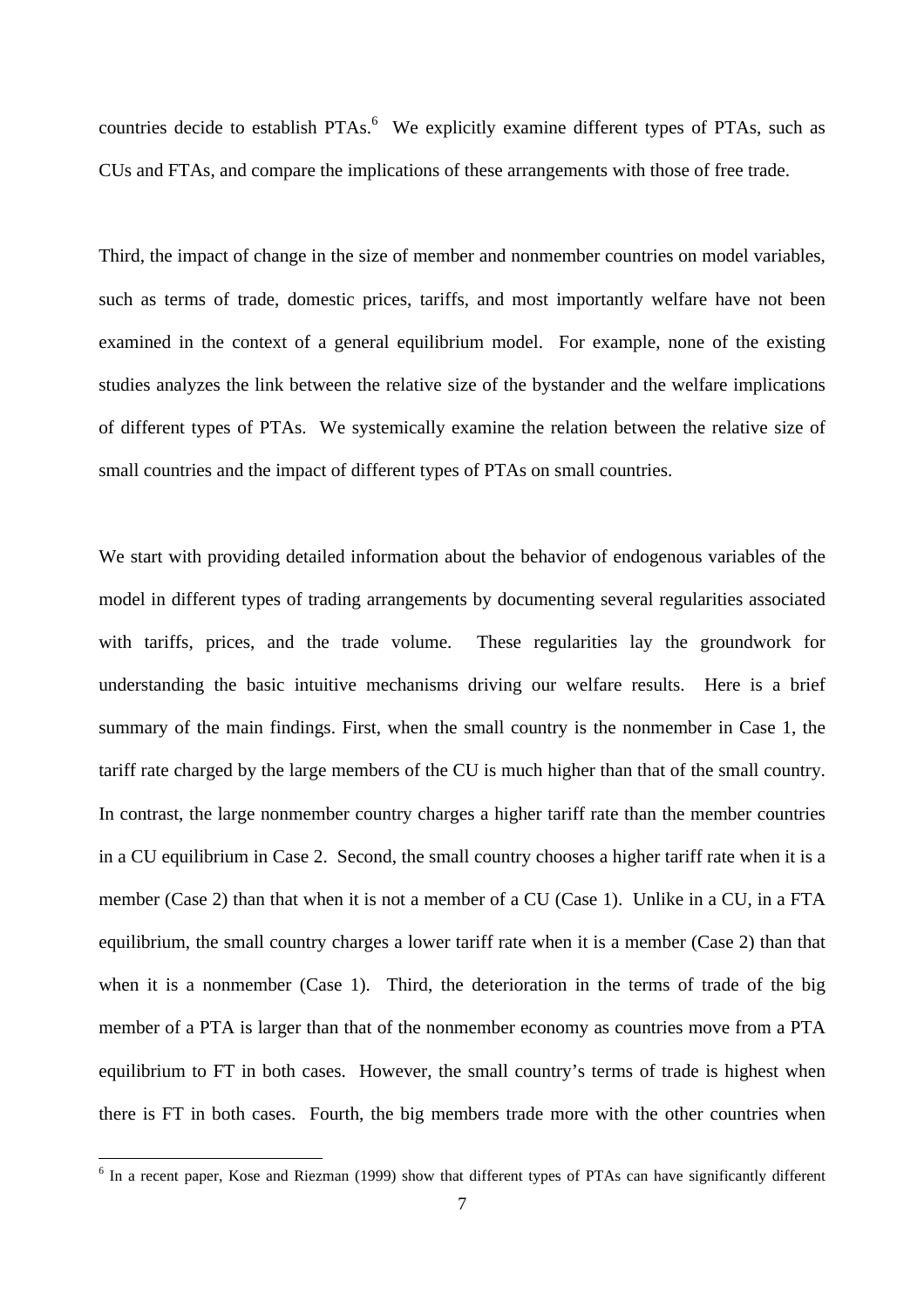countries decide to establish PTAs.<sup>6</sup> We explicitly examine different types of PTAs, such as CUs and FTAs, and compare the implications of these arrangements with those of free trade.

Third, the impact of change in the size of member and nonmember countries on model variables, such as terms of trade, domestic prices, tariffs, and most importantly welfare have not been examined in the context of a general equilibrium model. For example, none of the existing studies analyzes the link between the relative size of the bystander and the welfare implications of different types of PTAs. We systemically examine the relation between the relative size of small countries and the impact of different types of PTAs on small countries.

We start with providing detailed information about the behavior of endogenous variables of the model in different types of trading arrangements by documenting several regularities associated with tariffs, prices, and the trade volume. These regularities lay the groundwork for understanding the basic intuitive mechanisms driving our welfare results. Here is a brief summary of the main findings. First, when the small country is the nonmember in Case 1, the tariff rate charged by the large members of the CU is much higher than that of the small country. In contrast, the large nonmember country charges a higher tariff rate than the member countries in a CU equilibrium in Case 2. Second, the small country chooses a higher tariff rate when it is a member (Case 2) than that when it is not a member of a CU (Case 1). Unlike in a CU, in a FTA equilibrium, the small country charges a lower tariff rate when it is a member (Case 2) than that when it is a nonmember (Case 1). Third, the deterioration in the terms of trade of the big member of a PTA is larger than that of the nonmember economy as countries move from a PTA equilibrium to FT in both cases. However, the small country's terms of trade is highest when there is FT in both cases. Fourth, the big members trade more with the other countries when

<sup>&</sup>lt;sup>6</sup> In a recent paper, Kose and Riezman (1999) show that different types of PTAs can have significantly different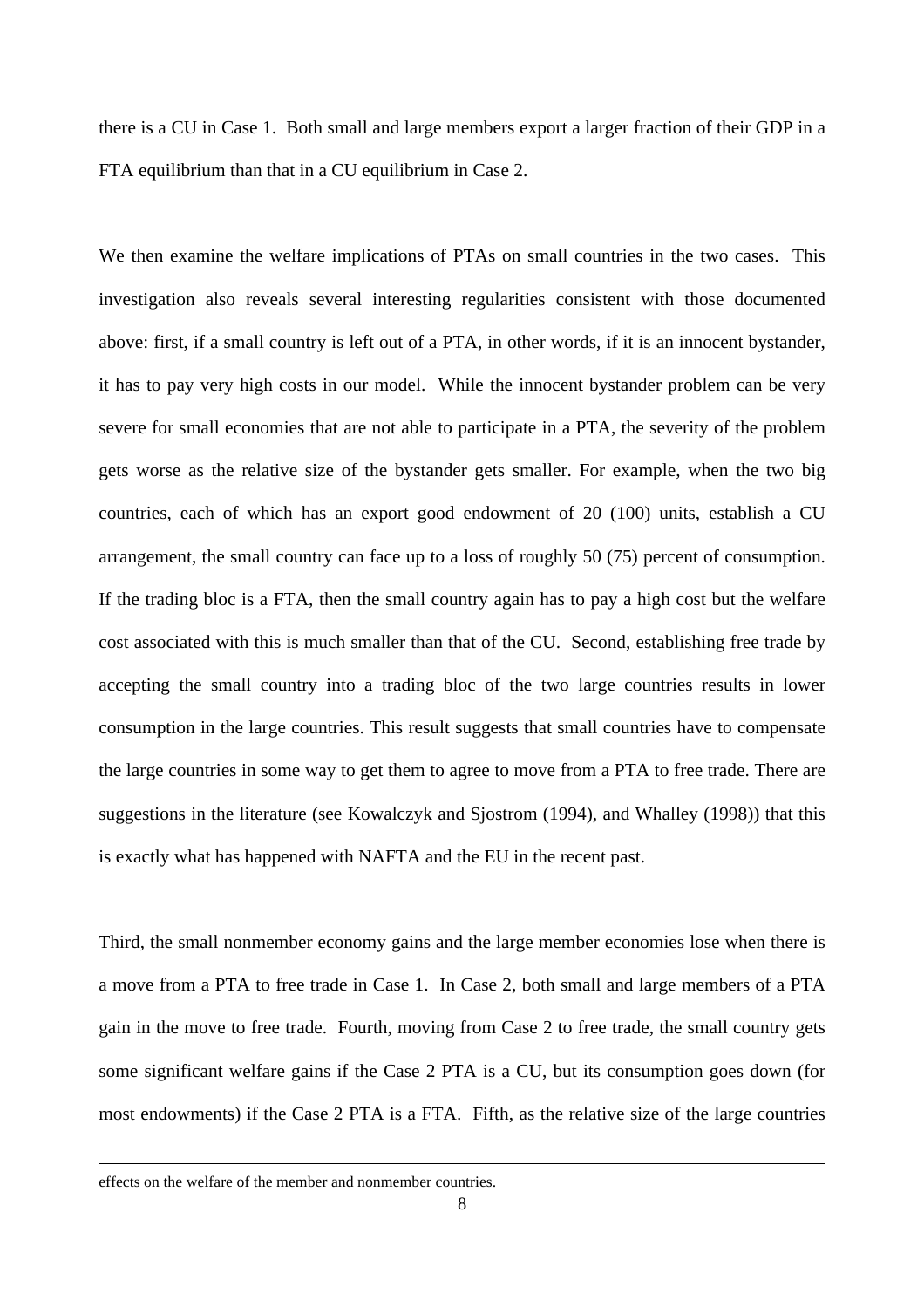there is a CU in Case 1. Both small and large members export a larger fraction of their GDP in a FTA equilibrium than that in a CU equilibrium in Case 2.

We then examine the welfare implications of PTAs on small countries in the two cases. This investigation also reveals several interesting regularities consistent with those documented above: first, if a small country is left out of a PTA, in other words, if it is an innocent bystander, it has to pay very high costs in our model. While the innocent bystander problem can be very severe for small economies that are not able to participate in a PTA, the severity of the problem gets worse as the relative size of the bystander gets smaller. For example, when the two big countries, each of which has an export good endowment of 20 (100) units, establish a CU arrangement, the small country can face up to a loss of roughly 50 (75) percent of consumption. If the trading bloc is a FTA, then the small country again has to pay a high cost but the welfare cost associated with this is much smaller than that of the CU. Second, establishing free trade by accepting the small country into a trading bloc of the two large countries results in lower consumption in the large countries. This result suggests that small countries have to compensate the large countries in some way to get them to agree to move from a PTA to free trade. There are suggestions in the literature (see Kowalczyk and Sjostrom (1994), and Whalley (1998)) that this is exactly what has happened with NAFTA and the EU in the recent past.

Third, the small nonmember economy gains and the large member economies lose when there is a move from a PTA to free trade in Case 1. In Case 2, both small and large members of a PTA gain in the move to free trade. Fourth, moving from Case 2 to free trade, the small country gets some significant welfare gains if the Case 2 PTA is a CU, but its consumption goes down (for most endowments) if the Case 2 PTA is a FTA. Fifth, as the relative size of the large countries

 $\overline{a}$ 

effects on the welfare of the member and nonmember countries.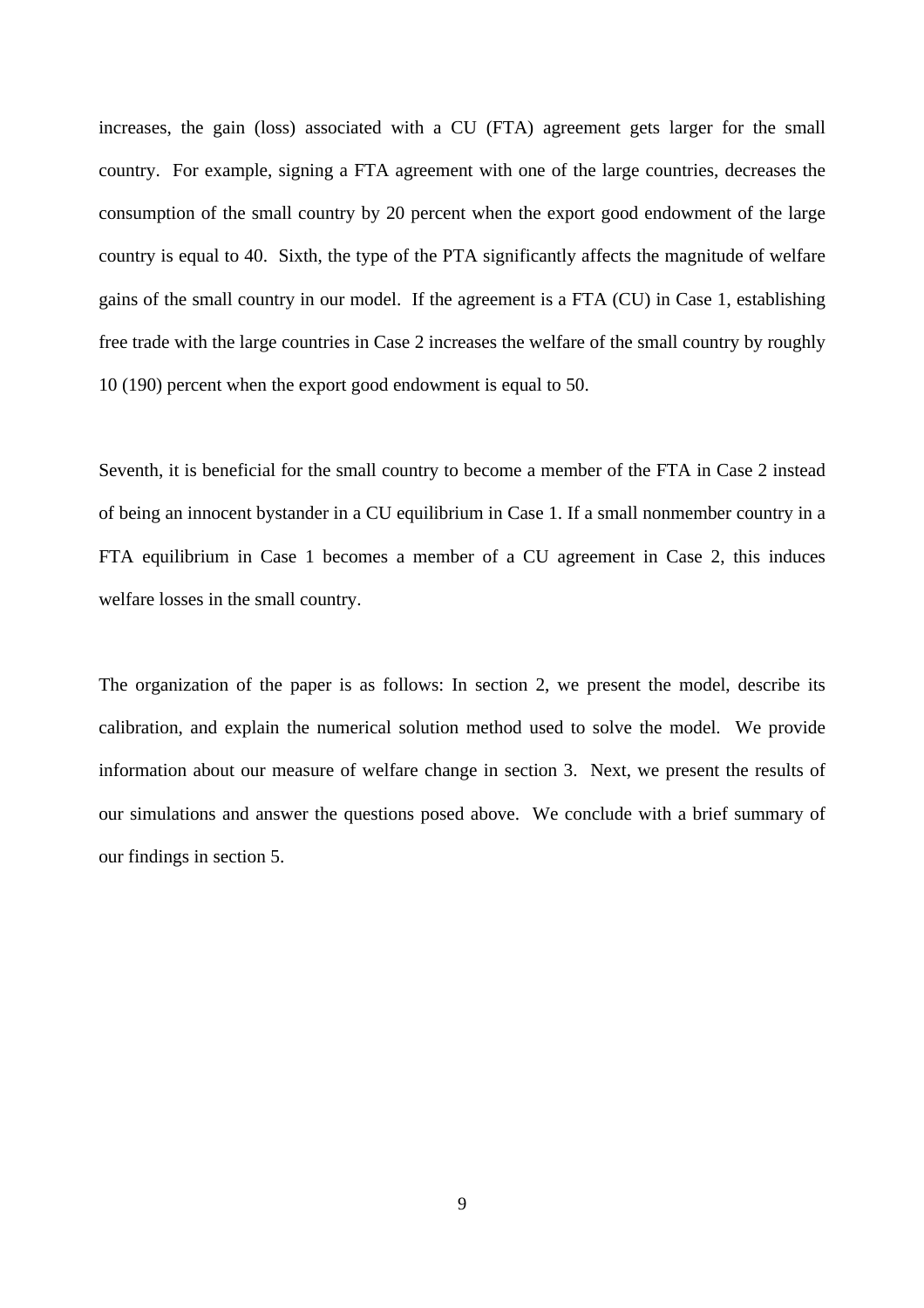increases, the gain (loss) associated with a CU (FTA) agreement gets larger for the small country. For example, signing a FTA agreement with one of the large countries, decreases the consumption of the small country by 20 percent when the export good endowment of the large country is equal to 40. Sixth, the type of the PTA significantly affects the magnitude of welfare gains of the small country in our model. If the agreement is a FTA (CU) in Case 1, establishing free trade with the large countries in Case 2 increases the welfare of the small country by roughly 10 (190) percent when the export good endowment is equal to 50.

Seventh, it is beneficial for the small country to become a member of the FTA in Case 2 instead of being an innocent bystander in a CU equilibrium in Case 1. If a small nonmember country in a FTA equilibrium in Case 1 becomes a member of a CU agreement in Case 2, this induces welfare losses in the small country.

The organization of the paper is as follows: In section 2, we present the model, describe its calibration, and explain the numerical solution method used to solve the model. We provide information about our measure of welfare change in section 3. Next, we present the results of our simulations and answer the questions posed above. We conclude with a brief summary of our findings in section 5.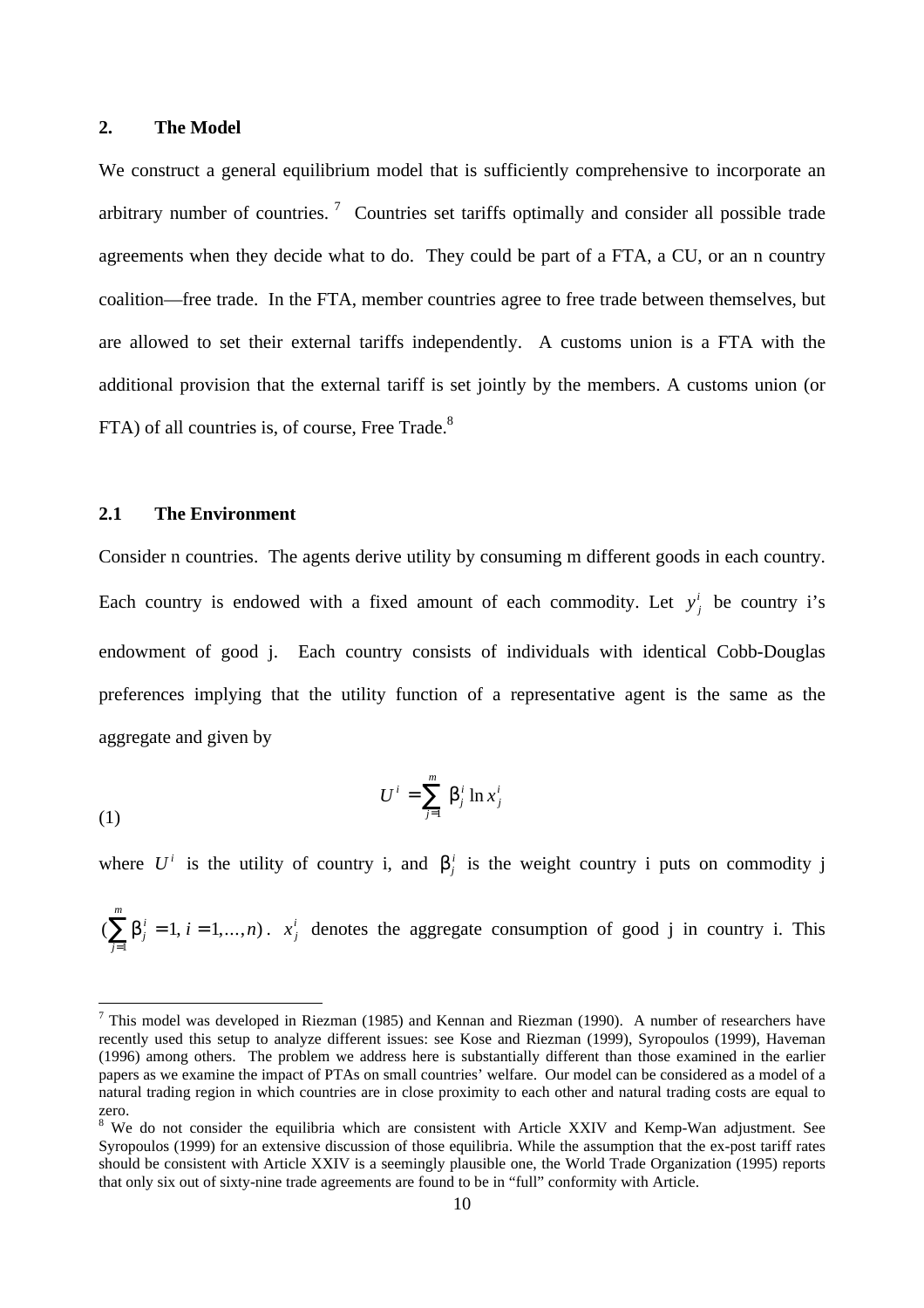#### **2. The Model**

We construct a general equilibrium model that is sufficiently comprehensive to incorporate an arbitrary number of countries.<sup>7</sup> Countries set tariffs optimally and consider all possible trade agreements when they decide what to do. They could be part of a FTA, a CU, or an n country coalition—free trade. In the FTA, member countries agree to free trade between themselves, but are allowed to set their external tariffs independently. A customs union is a FTA with the additional provision that the external tariff is set jointly by the members. A customs union (or FTA) of all countries is, of course, Free Trade.<sup>8</sup>

#### **2.1 The Environment**

 $\overline{a}$ 

Consider n countries. The agents derive utility by consuming m different goods in each country. Each country is endowed with a fixed amount of each commodity. Let  $y_j^i$  be country i's endowment of good j. Each country consists of individuals with identical Cobb-Douglas preferences implying that the utility function of a representative agent is the same as the aggregate and given by

$$
U^i = \sum_{j=1}^m b_j^i \ln x_j^i
$$

where  $U^i$  is the utility of country i, and  $b^i_j$  is the weight country i puts on commodity j

 $(\sum_{j}^{i} b_{j}^{i} = 1, i = 1,...,n)$ *i j m*  $i = 1, ..., n$  $\sum_{j=1}^{n} b_j^i = 1, i = 1,...,n$ .  $x_j^i$  denotes the aggregate consumption of good j in country i. This

<sup>&</sup>lt;sup>7</sup> This model was developed in Riezman (1985) and Kennan and Riezman (1990). A number of researchers have recently used this setup to analyze different issues: see Kose and Riezman (1999), Syropoulos (1999), Haveman (1996) among others. The problem we address here is substantially different than those examined in the earlier papers as we examine the impact of PTAs on small countries' welfare. Our model can be considered as a model of a natural trading region in which countries are in close proximity to each other and natural trading costs are equal to zero.

<sup>&</sup>lt;sup>8</sup> We do not consider the equilibria which are consistent with Article XXIV and Kemp-Wan adjustment. See Syropoulos (1999) for an extensive discussion of those equilibria. While the assumption that the ex-post tariff rates should be consistent with Article XXIV is a seemingly plausible one, the World Trade Organization (1995) reports that only six out of sixty-nine trade agreements are found to be in "full" conformity with Article.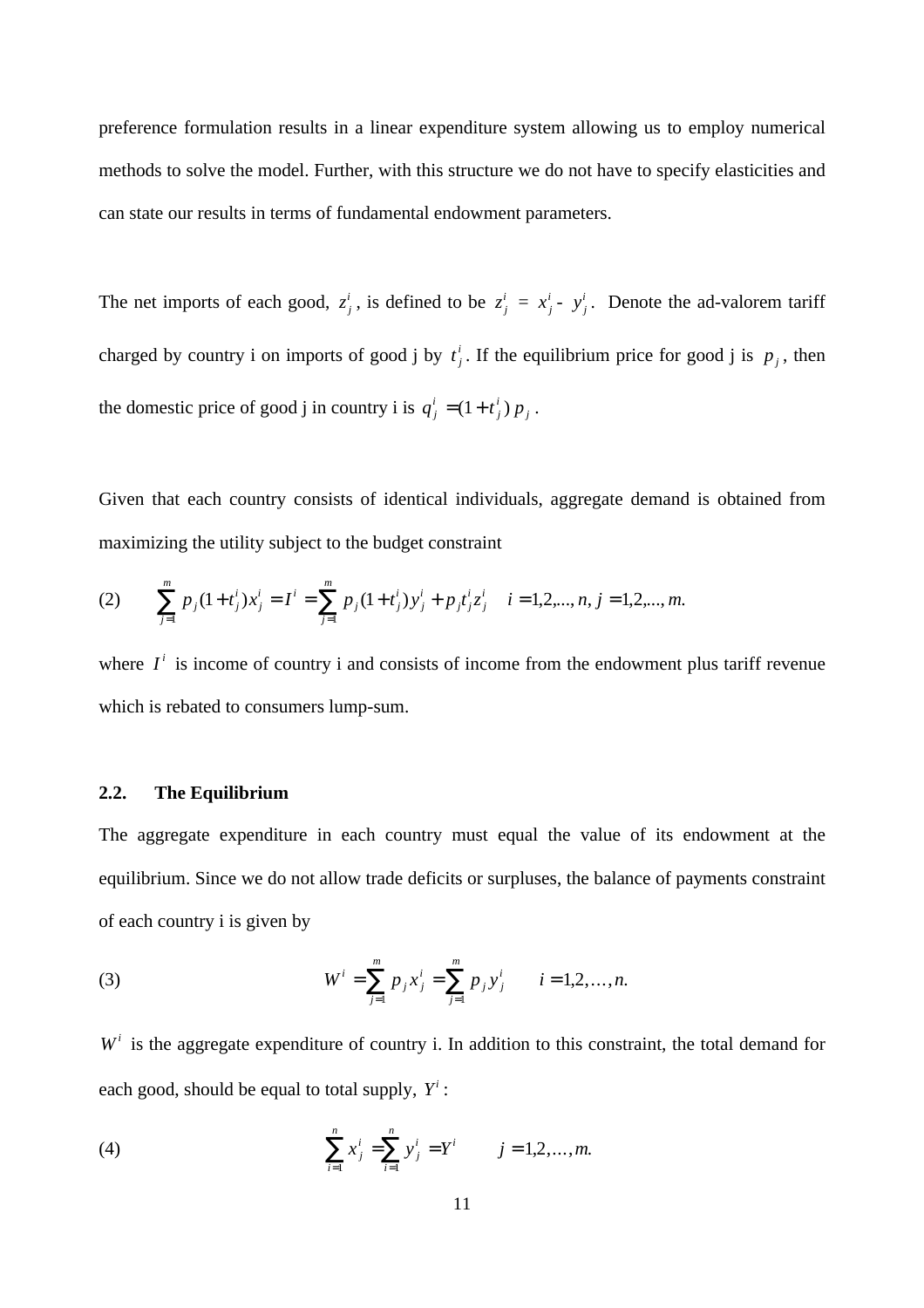preference formulation results in a linear expenditure system allowing us to employ numerical methods to solve the model. Further, with this structure we do not have to specify elasticities and can state our results in terms of fundamental endowment parameters.

The net imports of each good,  $z_j^i$ , is defined to be  $z_j^i = x_j^i - y_j^i$ . Denote the ad-valorem tariff charged by country i on imports of good j by  $t_j^i$  $\sum_{i=1}^{i}$ . If the equilibrium price for good j is  $p_j$ , then the domestic price of good j in country i is  $q_j^i = (1 + t_j^i)p_j$ *j*  $=(1 + t_j^i) p_j$ .

Given that each country consists of identical individuals, aggregate demand is obtained from maximizing the utility subject to the budget constraint

(2) 
$$
\sum_{j=1}^{m} p_j (1+t_j^i) x_j^i = I^i = \sum_{j=1}^{m} p_j (1+t_j^i) y_j^i + p_j t_j^i z_j^i \quad i = 1, 2, ..., n, j = 1, 2, ..., m.
$$

where  $I^i$  is income of country i and consists of income from the endowment plus tariff revenue which is rebated to consumers lump-sum.

#### **2.2. The Equilibrium**

The aggregate expenditure in each country must equal the value of its endowment at the equilibrium. Since we do not allow trade deficits or surpluses, the balance of payments constraint of each country i is given by

(3) 
$$
W^{i} = \sum_{j=1}^{m} p_{j} x_{j}^{i} = \sum_{j=1}^{m} p_{j} y_{j}^{i} \qquad i = 1, 2, ..., n.
$$

 $W<sup>i</sup>$  is the aggregate expenditure of country i. In addition to this constraint, the total demand for each good, should be equal to total supply, *Y i* :

(4) 
$$
\sum_{i=1}^{n} x_j^i = \sum_{i=1}^{n} y_j^i = Y^i \qquad j = 1, 2, ..., m.
$$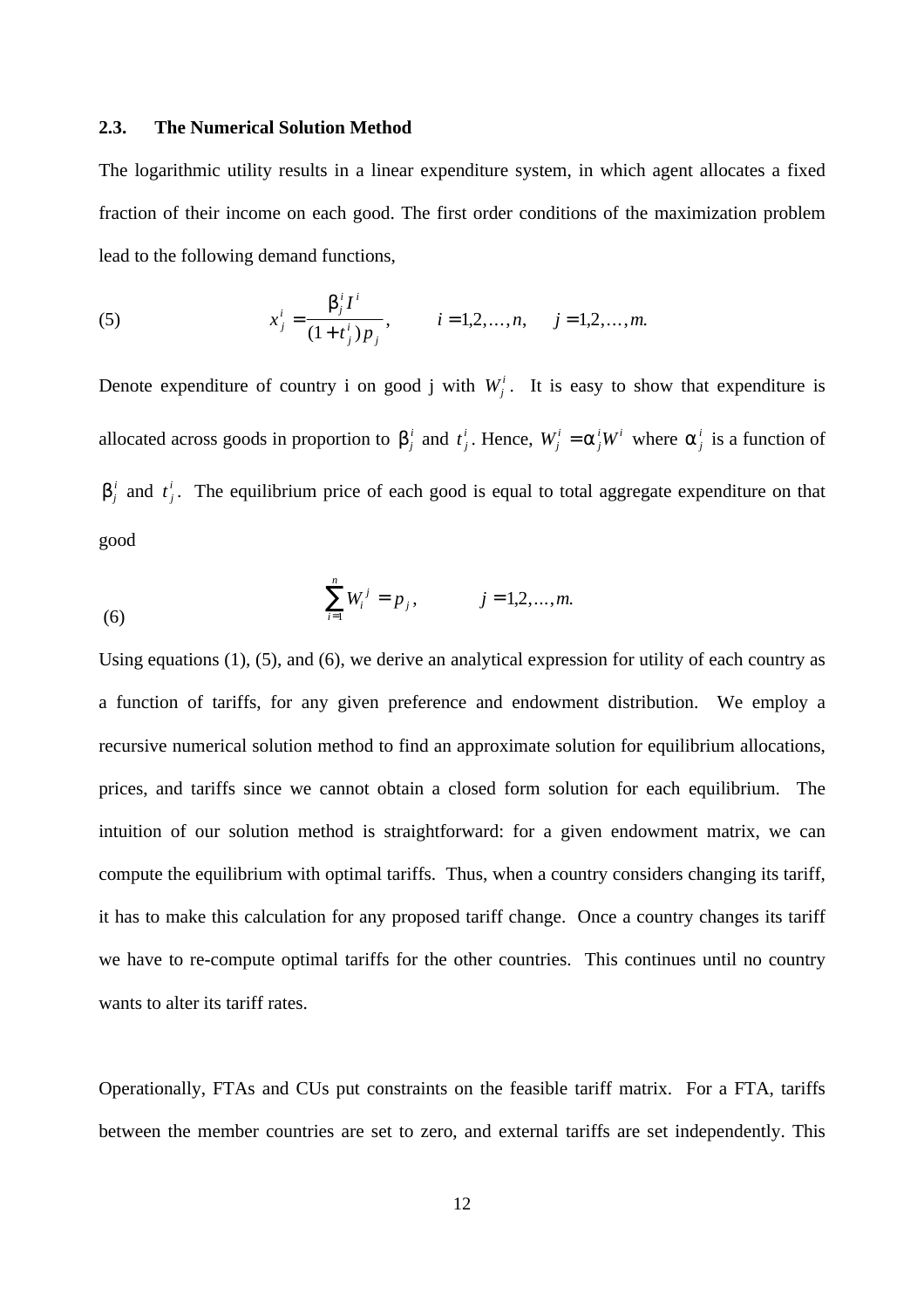#### **2.3. The Numerical Solution Method**

The logarithmic utility results in a linear expenditure system, in which agent allocates a fixed fraction of their income on each good. The first order conditions of the maximization problem lead to the following demand functions,

(5) 
$$
x_j^i = \frac{\mathbf{b}_j^i I^i}{(1+t_j^i)p_j}, \qquad i=1,2,...,n, \qquad j=1,2,...,m.
$$

Denote expenditure of country i on good j with  $W_j^i$ . It is easy to show that expenditure is allocated across goods in proportion to  $b_j^i$  and  $t_j^i$ *i*<sub>*j*</sub>. Hence,  $W_j^i = a_j^iW$ *j*  $=$  *a*<sup>*i*</sup><sub>*j</sub>* where *a*<sup>*i*</sup><sub>*j*</sub> is a function of</sub>  $\mathbf{b}^i_j$  and  $t^i_j$ *i* . The equilibrium price of each good is equal to total aggregate expenditure on that good

(6) 
$$
\sum_{i=1}^{n} W_i^j = p_j, \qquad j = 1, 2, ..., m.
$$

Using equations (1), (5), and (6), we derive an analytical expression for utility of each country as a function of tariffs, for any given preference and endowment distribution. We employ a recursive numerical solution method to find an approximate solution for equilibrium allocations, prices, and tariffs since we cannot obtain a closed form solution for each equilibrium. The intuition of our solution method is straightforward: for a given endowment matrix, we can compute the equilibrium with optimal tariffs. Thus, when a country considers changing its tariff, it has to make this calculation for any proposed tariff change. Once a country changes its tariff we have to re-compute optimal tariffs for the other countries. This continues until no country wants to alter its tariff rates.

Operationally, FTAs and CUs put constraints on the feasible tariff matrix. For a FTA, tariffs between the member countries are set to zero, and external tariffs are set independently. This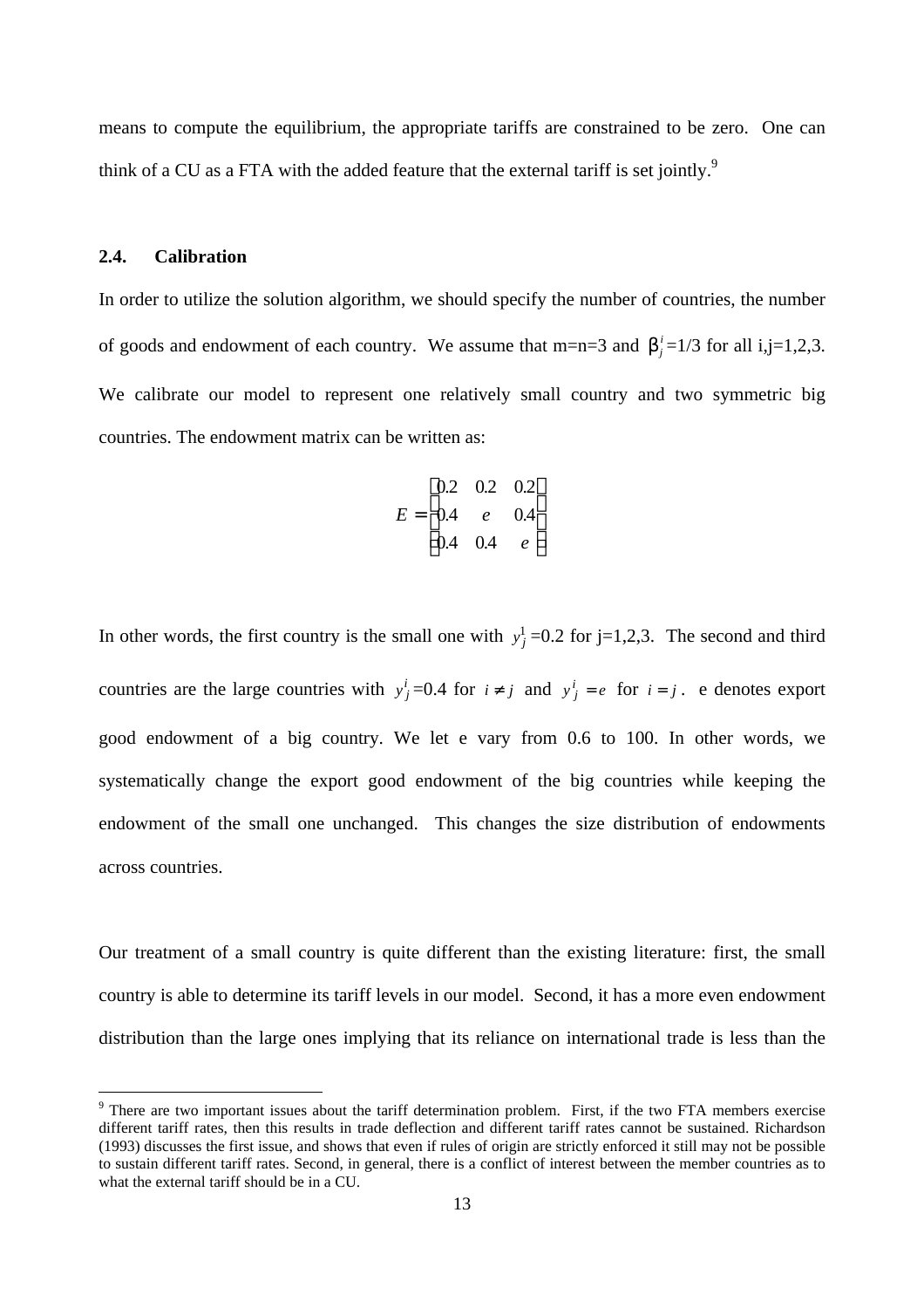means to compute the equilibrium, the appropriate tariffs are constrained to be zero. One can think of a CU as a FTA with the added feature that the external tariff is set jointly.<sup>9</sup>

#### **2.4. Calibration**

 $\overline{a}$ 

In order to utilize the solution algorithm, we should specify the number of countries, the number of goods and endowment of each country. We assume that m=n=3 and  $\mathbf{b}_j^i = 1/3$  for all i,j=1,2,3. We calibrate our model to represent one relatively small country and two symmetric big countries. The endowment matrix can be written as:

$$
E = \begin{bmatrix} 0.2 & 0.2 & 0.2 \\ 0.4 & e & 0.4 \\ 0.4 & 0.4 & e \end{bmatrix}
$$

In other words, the first country is the small one with  $y_j^1$  =0.2 for j=1,2,3. The second and third countries are the large countries with  $y^i_j = 0.4$  for  $i \neq j$  and  $y^i_j = e$  for  $i = j$ . e denotes export good endowment of a big country. We let e vary from 0.6 to 100. In other words, we systematically change the export good endowment of the big countries while keeping the endowment of the small one unchanged. This changes the size distribution of endowments across countries.

Our treatment of a small country is quite different than the existing literature: first, the small country is able to determine its tariff levels in our model. Second, it has a more even endowment distribution than the large ones implying that its reliance on international trade is less than the

<sup>&</sup>lt;sup>9</sup> There are two important issues about the tariff determination problem. First, if the two FTA members exercise different tariff rates, then this results in trade deflection and different tariff rates cannot be sustained. Richardson (1993) discusses the first issue, and shows that even if rules of origin are strictly enforced it still may not be possible to sustain different tariff rates. Second, in general, there is a conflict of interest between the member countries as to what the external tariff should be in a CU.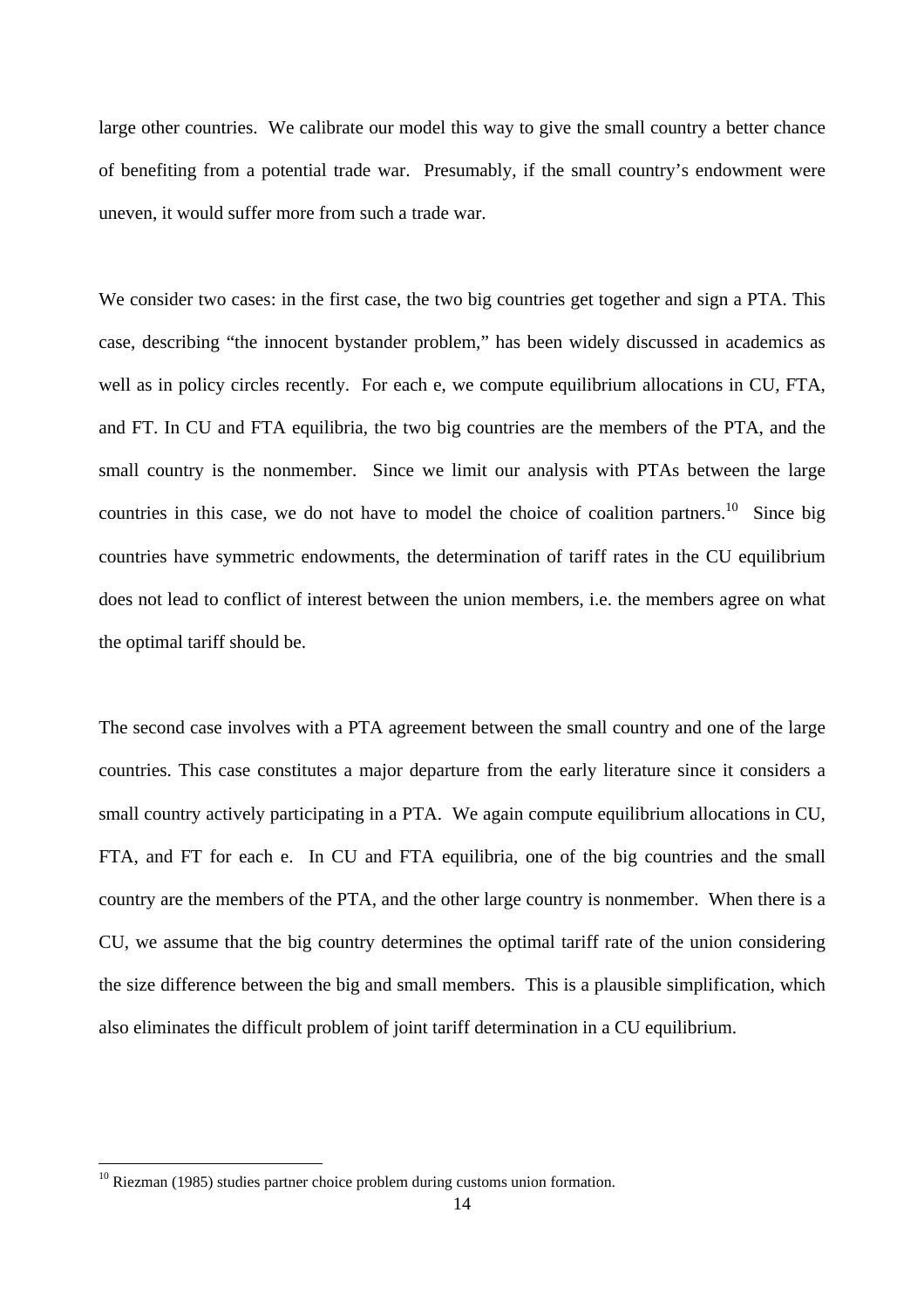large other countries. We calibrate our model this way to give the small country a better chance of benefiting from a potential trade war. Presumably, if the small country's endowment were uneven, it would suffer more from such a trade war.

We consider two cases: in the first case, the two big countries get together and sign a PTA. This case, describing "the innocent bystander problem," has been widely discussed in academics as well as in policy circles recently. For each e, we compute equilibrium allocations in CU, FTA, and FT. In CU and FTA equilibria, the two big countries are the members of the PTA, and the small country is the nonmember. Since we limit our analysis with PTAs between the large countries in this case, we do not have to model the choice of coalition partners.<sup>10</sup> Since big countries have symmetric endowments, the determination of tariff rates in the CU equilibrium does not lead to conflict of interest between the union members, i.e. the members agree on what the optimal tariff should be.

The second case involves with a PTA agreement between the small country and one of the large countries. This case constitutes a major departure from the early literature since it considers a small country actively participating in a PTA. We again compute equilibrium allocations in CU, FTA, and FT for each e. In CU and FTA equilibria, one of the big countries and the small country are the members of the PTA, and the other large country is nonmember. When there is a CU, we assume that the big country determines the optimal tariff rate of the union considering the size difference between the big and small members. This is a plausible simplification, which also eliminates the difficult problem of joint tariff determination in a CU equilibrium.

 $\overline{a}$ 

 $10$  Riezman (1985) studies partner choice problem during customs union formation.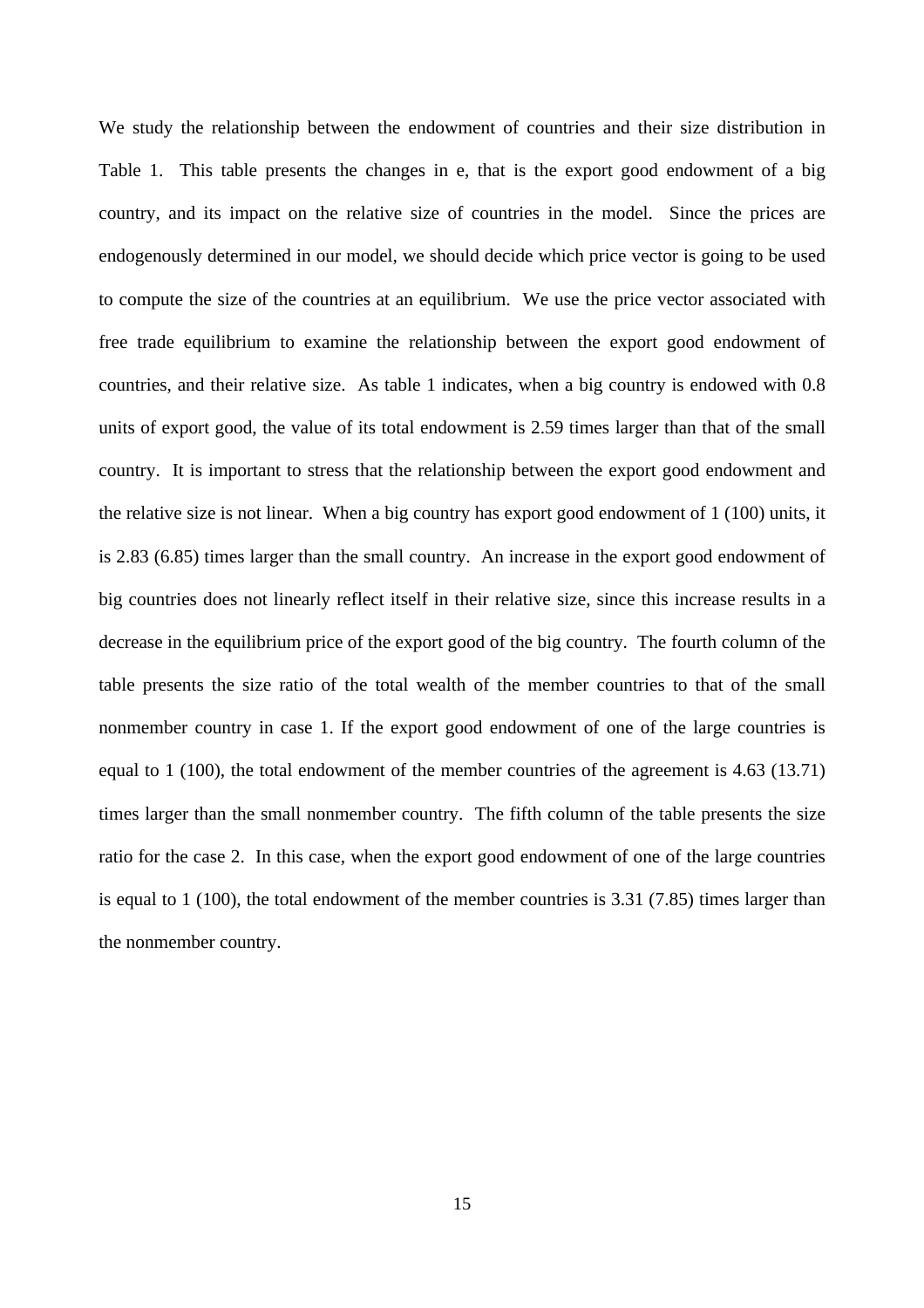We study the relationship between the endowment of countries and their size distribution in Table 1. This table presents the changes in e, that is the export good endowment of a big country, and its impact on the relative size of countries in the model. Since the prices are endogenously determined in our model, we should decide which price vector is going to be used to compute the size of the countries at an equilibrium. We use the price vector associated with free trade equilibrium to examine the relationship between the export good endowment of countries, and their relative size. As table 1 indicates, when a big country is endowed with 0.8 units of export good, the value of its total endowment is 2.59 times larger than that of the small country. It is important to stress that the relationship between the export good endowment and the relative size is not linear. When a big country has export good endowment of 1 (100) units, it is 2.83 (6.85) times larger than the small country. An increase in the export good endowment of big countries does not linearly reflect itself in their relative size, since this increase results in a decrease in the equilibrium price of the export good of the big country. The fourth column of the table presents the size ratio of the total wealth of the member countries to that of the small nonmember country in case 1. If the export good endowment of one of the large countries is equal to 1 (100), the total endowment of the member countries of the agreement is 4.63 (13.71) times larger than the small nonmember country. The fifth column of the table presents the size ratio for the case 2. In this case, when the export good endowment of one of the large countries is equal to 1 (100), the total endowment of the member countries is 3.31 (7.85) times larger than the nonmember country.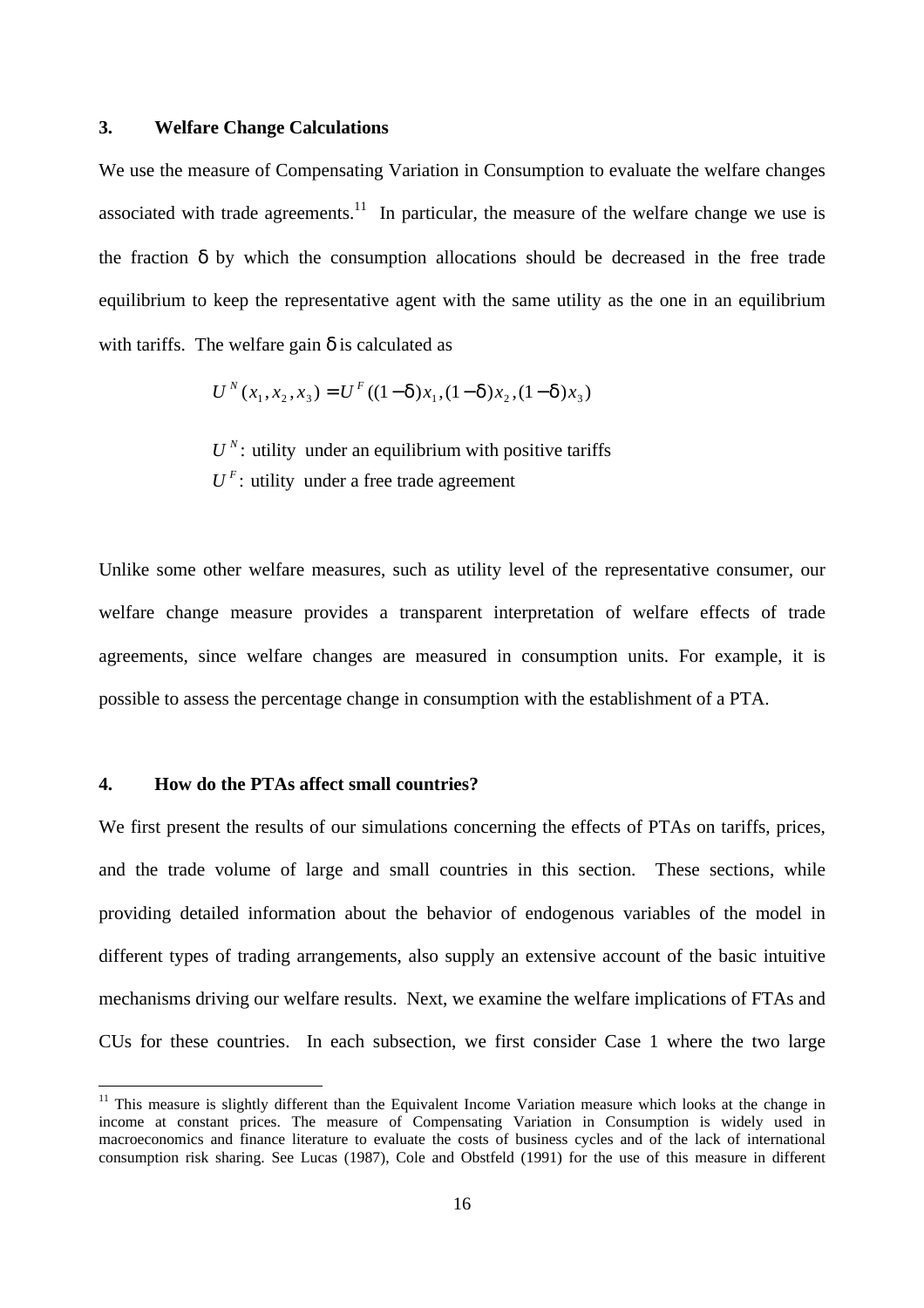#### **3. Welfare Change Calculations**

We use the measure of Compensating Variation in Consumption to evaluate the welfare changes associated with trade agreements.<sup>11</sup> In particular, the measure of the welfare change we use is the fraction  $\delta$  by which the consumption allocations should be decreased in the free trade equilibrium to keep the representative agent with the same utility as the one in an equilibrium with tariffs. The welfare gain  $\delta$  is calculated as

$$
U^{N}(x_1, x_2, x_3) = U^{F}((1 - d)x_1, (1 - d)x_2, (1 - d)x_3)
$$

 $U^N$ : utility under an equilibrium with positive tariffs  $U<sup>F</sup>$ : utility under a free trade agreement

Unlike some other welfare measures, such as utility level of the representative consumer, our welfare change measure provides a transparent interpretation of welfare effects of trade agreements, since welfare changes are measured in consumption units. For example, it is possible to assess the percentage change in consumption with the establishment of a PTA.

#### **4. How do the PTAs affect small countries?**

 $\overline{a}$ 

We first present the results of our simulations concerning the effects of PTAs on tariffs, prices, and the trade volume of large and small countries in this section. These sections, while providing detailed information about the behavior of endogenous variables of the model in different types of trading arrangements, also supply an extensive account of the basic intuitive mechanisms driving our welfare results. Next, we examine the welfare implications of FTAs and CUs for these countries. In each subsection, we first consider Case 1 where the two large

 $11$  This measure is slightly different than the Equivalent Income Variation measure which looks at the change in income at constant prices. The measure of Compensating Variation in Consumption is widely used in macroeconomics and finance literature to evaluate the costs of business cycles and of the lack of international consumption risk sharing. See Lucas (1987), Cole and Obstfeld (1991) for the use of this measure in different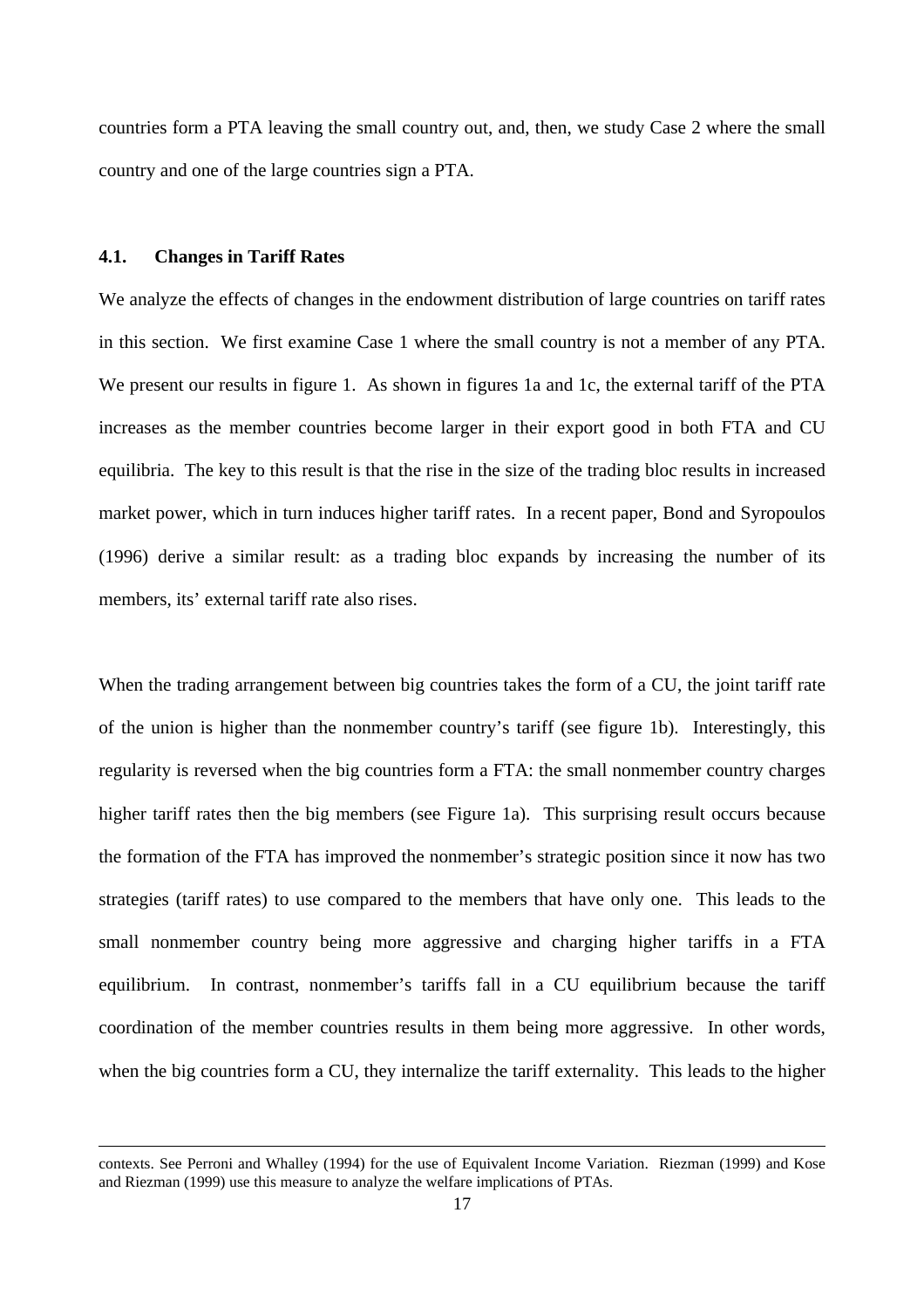countries form a PTA leaving the small country out, and, then, we study Case 2 where the small country and one of the large countries sign a PTA.

#### **4.1. Changes in Tariff Rates**

 $\overline{a}$ 

We analyze the effects of changes in the endowment distribution of large countries on tariff rates in this section. We first examine Case 1 where the small country is not a member of any PTA. We present our results in figure 1. As shown in figures 1a and 1c, the external tariff of the PTA increases as the member countries become larger in their export good in both FTA and CU equilibria. The key to this result is that the rise in the size of the trading bloc results in increased market power, which in turn induces higher tariff rates. In a recent paper, Bond and Syropoulos (1996) derive a similar result: as a trading bloc expands by increasing the number of its members, its' external tariff rate also rises.

When the trading arrangement between big countries takes the form of a CU, the joint tariff rate of the union is higher than the nonmember country's tariff (see figure 1b). Interestingly, this regularity is reversed when the big countries form a FTA: the small nonmember country charges higher tariff rates then the big members (see Figure 1a). This surprising result occurs because the formation of the FTA has improved the nonmember's strategic position since it now has two strategies (tariff rates) to use compared to the members that have only one. This leads to the small nonmember country being more aggressive and charging higher tariffs in a FTA equilibrium. In contrast, nonmember's tariffs fall in a CU equilibrium because the tariff coordination of the member countries results in them being more aggressive. In other words, when the big countries form a CU, they internalize the tariff externality. This leads to the higher

contexts. See Perroni and Whalley (1994) for the use of Equivalent Income Variation. Riezman (1999) and Kose and Riezman (1999) use this measure to analyze the welfare implications of PTAs.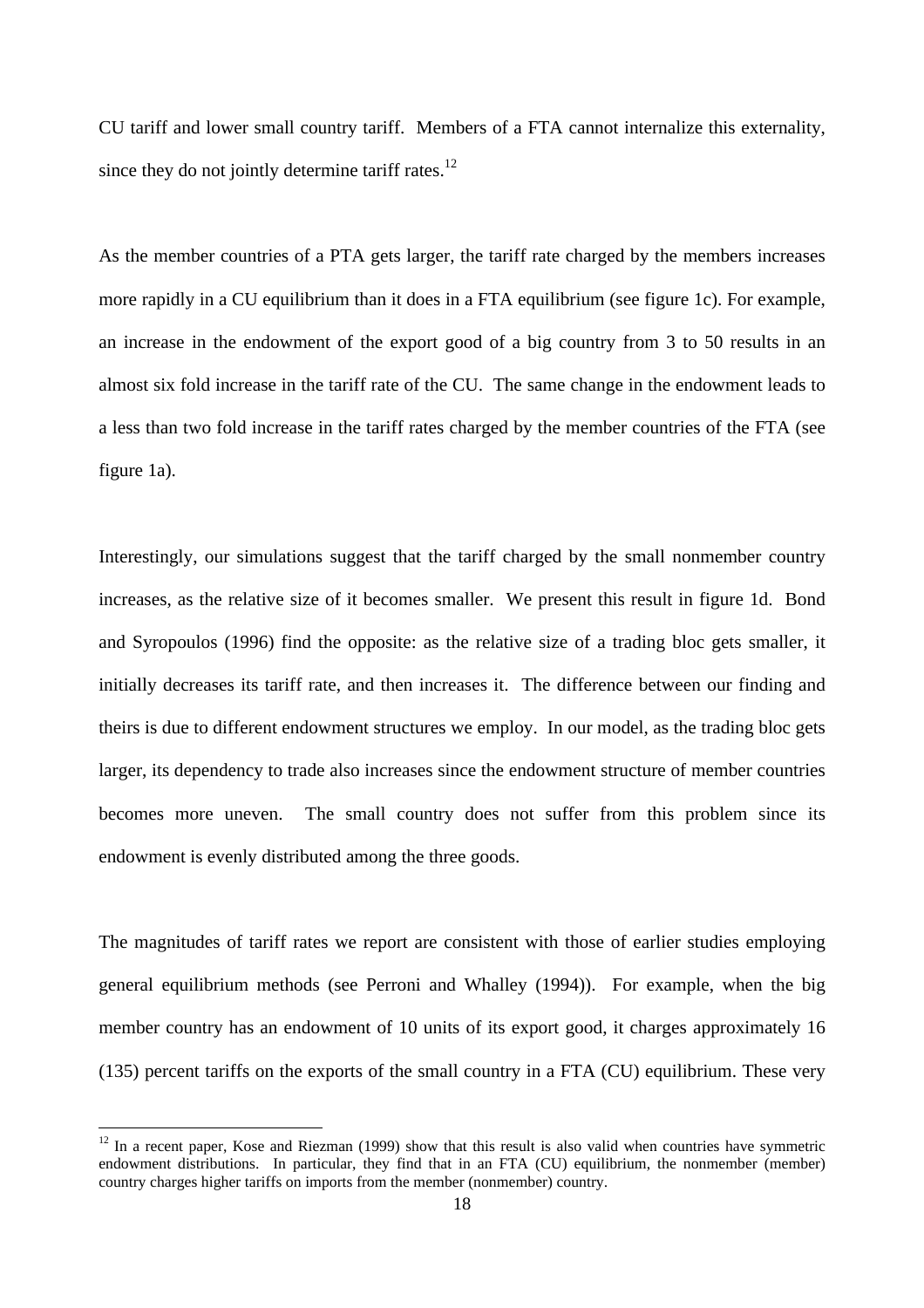CU tariff and lower small country tariff. Members of a FTA cannot internalize this externality, since they do not jointly determine tariff rates. $^{12}$ 

As the member countries of a PTA gets larger, the tariff rate charged by the members increases more rapidly in a CU equilibrium than it does in a FTA equilibrium (see figure 1c). For example, an increase in the endowment of the export good of a big country from 3 to 50 results in an almost six fold increase in the tariff rate of the CU. The same change in the endowment leads to a less than two fold increase in the tariff rates charged by the member countries of the FTA (see figure 1a).

Interestingly, our simulations suggest that the tariff charged by the small nonmember country increases, as the relative size of it becomes smaller. We present this result in figure 1d. Bond and Syropoulos (1996) find the opposite: as the relative size of a trading bloc gets smaller, it initially decreases its tariff rate, and then increases it. The difference between our finding and theirs is due to different endowment structures we employ. In our model, as the trading bloc gets larger, its dependency to trade also increases since the endowment structure of member countries becomes more uneven. The small country does not suffer from this problem since its endowment is evenly distributed among the three goods.

The magnitudes of tariff rates we report are consistent with those of earlier studies employing general equilibrium methods (see Perroni and Whalley (1994)). For example, when the big member country has an endowment of 10 units of its export good, it charges approximately 16 (135) percent tariffs on the exports of the small country in a FTA (CU) equilibrium. These very

 $\overline{a}$ 

 $12$  In a recent paper, Kose and Riezman (1999) show that this result is also valid when countries have symmetric endowment distributions. In particular, they find that in an FTA (CU) equilibrium, the nonmember (member) country charges higher tariffs on imports from the member (nonmember) country.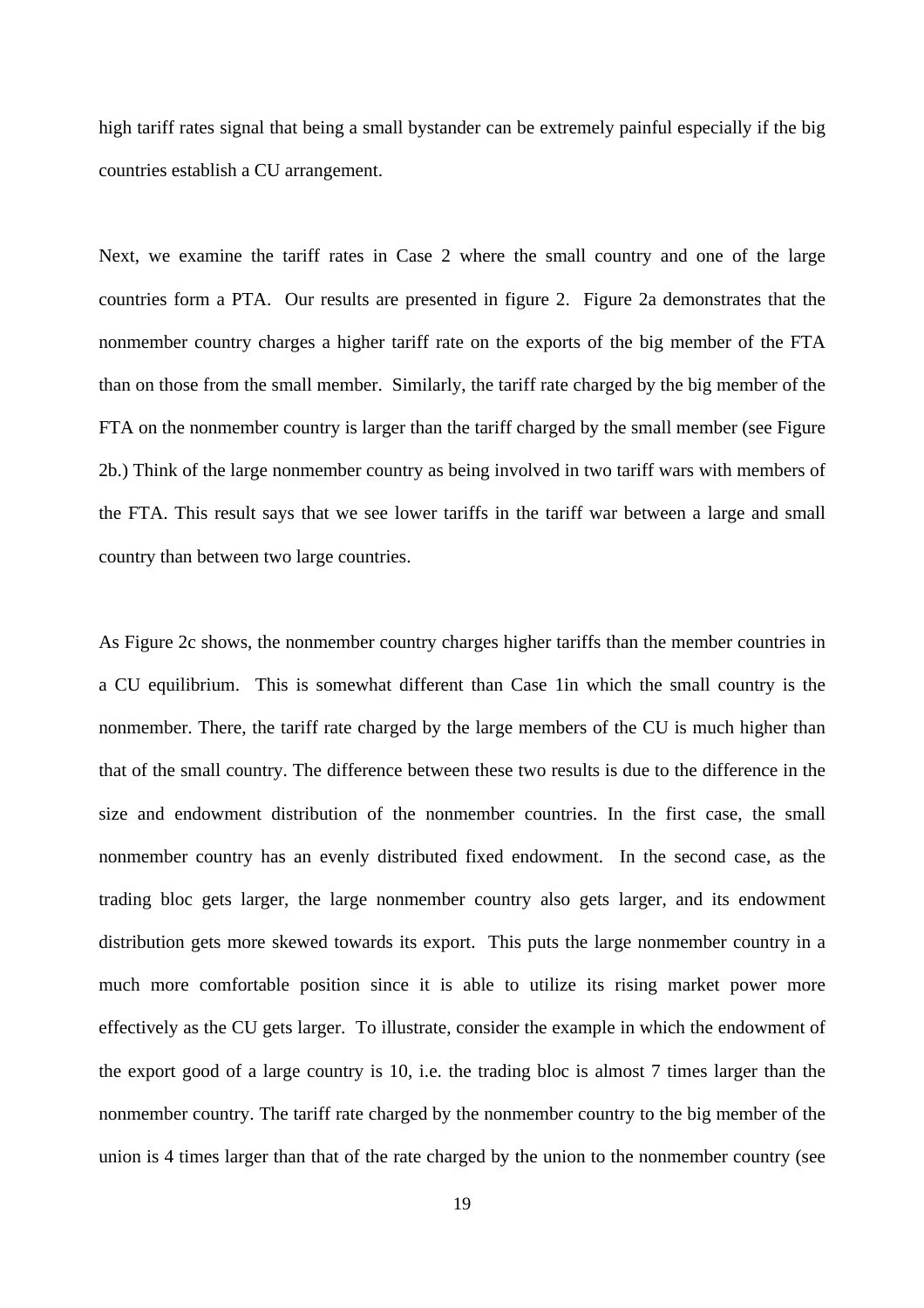high tariff rates signal that being a small bystander can be extremely painful especially if the big countries establish a CU arrangement.

Next, we examine the tariff rates in Case 2 where the small country and one of the large countries form a PTA. Our results are presented in figure 2. Figure 2a demonstrates that the nonmember country charges a higher tariff rate on the exports of the big member of the FTA than on those from the small member. Similarly, the tariff rate charged by the big member of the FTA on the nonmember country is larger than the tariff charged by the small member (see Figure 2b.) Think of the large nonmember country as being involved in two tariff wars with members of the FTA. This result says that we see lower tariffs in the tariff war between a large and small country than between two large countries.

As Figure 2c shows, the nonmember country charges higher tariffs than the member countries in a CU equilibrium. This is somewhat different than Case 1in which the small country is the nonmember. There, the tariff rate charged by the large members of the CU is much higher than that of the small country. The difference between these two results is due to the difference in the size and endowment distribution of the nonmember countries. In the first case, the small nonmember country has an evenly distributed fixed endowment. In the second case, as the trading bloc gets larger, the large nonmember country also gets larger, and its endowment distribution gets more skewed towards its export. This puts the large nonmember country in a much more comfortable position since it is able to utilize its rising market power more effectively as the CU gets larger. To illustrate, consider the example in which the endowment of the export good of a large country is 10, i.e. the trading bloc is almost 7 times larger than the nonmember country. The tariff rate charged by the nonmember country to the big member of the union is 4 times larger than that of the rate charged by the union to the nonmember country (see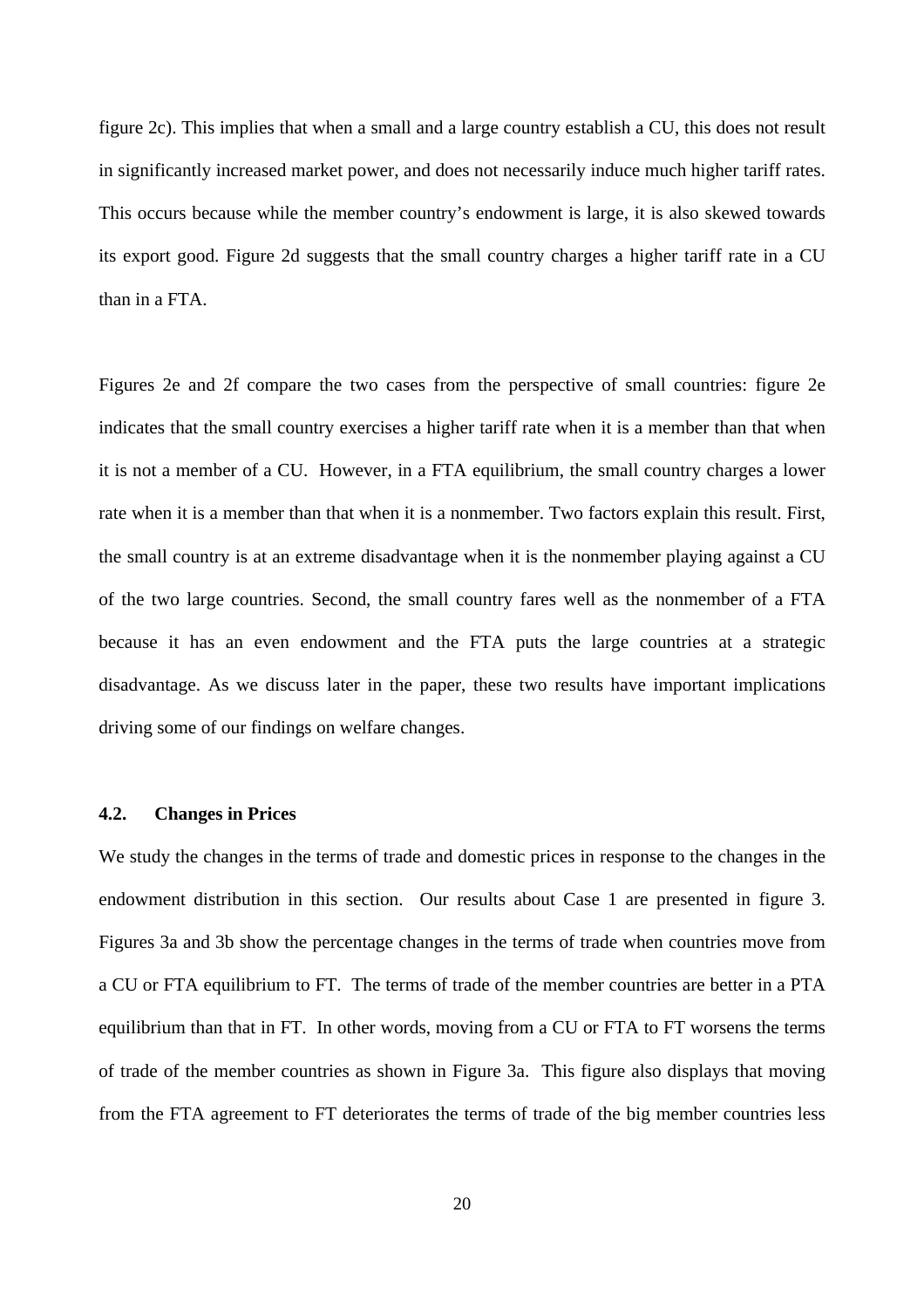figure 2c). This implies that when a small and a large country establish a CU, this does not result in significantly increased market power, and does not necessarily induce much higher tariff rates. This occurs because while the member country's endowment is large, it is also skewed towards its export good. Figure 2d suggests that the small country charges a higher tariff rate in a CU than in a FTA.

Figures 2e and 2f compare the two cases from the perspective of small countries: figure 2e indicates that the small country exercises a higher tariff rate when it is a member than that when it is not a member of a CU. However, in a FTA equilibrium, the small country charges a lower rate when it is a member than that when it is a nonmember. Two factors explain this result. First, the small country is at an extreme disadvantage when it is the nonmember playing against a CU of the two large countries. Second, the small country fares well as the nonmember of a FTA because it has an even endowment and the FTA puts the large countries at a strategic disadvantage. As we discuss later in the paper, these two results have important implications driving some of our findings on welfare changes.

#### **4.2. Changes in Prices**

We study the changes in the terms of trade and domestic prices in response to the changes in the endowment distribution in this section. Our results about Case 1 are presented in figure 3. Figures 3a and 3b show the percentage changes in the terms of trade when countries move from a CU or FTA equilibrium to FT. The terms of trade of the member countries are better in a PTA equilibrium than that in FT. In other words, moving from a CU or FTA to FT worsens the terms of trade of the member countries as shown in Figure 3a. This figure also displays that moving from the FTA agreement to FT deteriorates the terms of trade of the big member countries less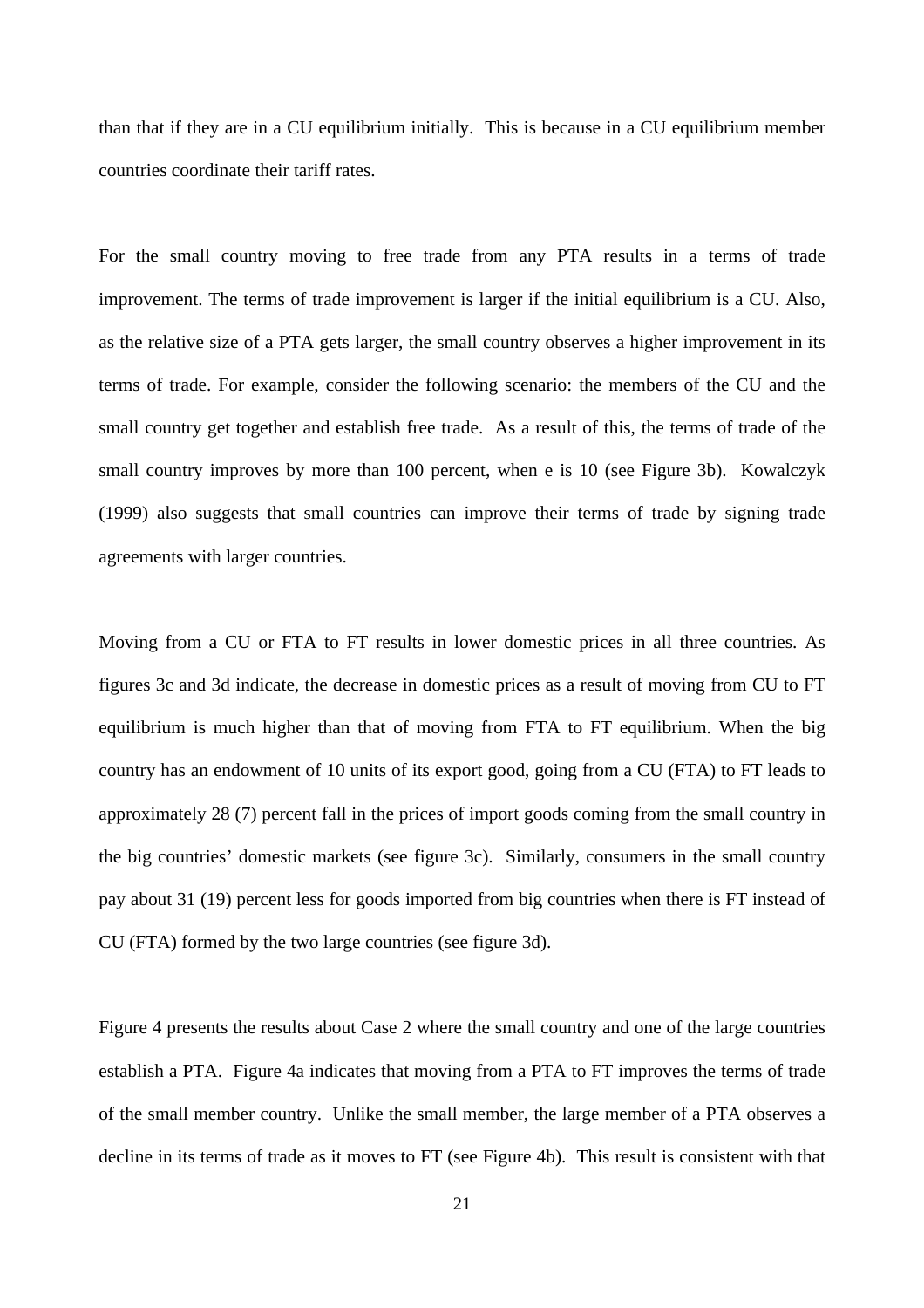than that if they are in a CU equilibrium initially. This is because in a CU equilibrium member countries coordinate their tariff rates.

For the small country moving to free trade from any PTA results in a terms of trade improvement. The terms of trade improvement is larger if the initial equilibrium is a CU. Also, as the relative size of a PTA gets larger, the small country observes a higher improvement in its terms of trade. For example, consider the following scenario: the members of the CU and the small country get together and establish free trade. As a result of this, the terms of trade of the small country improves by more than 100 percent, when e is 10 (see Figure 3b). Kowalczyk (1999) also suggests that small countries can improve their terms of trade by signing trade agreements with larger countries.

Moving from a CU or FTA to FT results in lower domestic prices in all three countries. As figures 3c and 3d indicate, the decrease in domestic prices as a result of moving from CU to FT equilibrium is much higher than that of moving from FTA to FT equilibrium. When the big country has an endowment of 10 units of its export good, going from a CU (FTA) to FT leads to approximately 28 (7) percent fall in the prices of import goods coming from the small country in the big countries' domestic markets (see figure 3c). Similarly, consumers in the small country pay about 31 (19) percent less for goods imported from big countries when there is FT instead of CU (FTA) formed by the two large countries (see figure 3d).

Figure 4 presents the results about Case 2 where the small country and one of the large countries establish a PTA. Figure 4a indicates that moving from a PTA to FT improves the terms of trade of the small member country. Unlike the small member, the large member of a PTA observes a decline in its terms of trade as it moves to FT (see Figure 4b). This result is consistent with that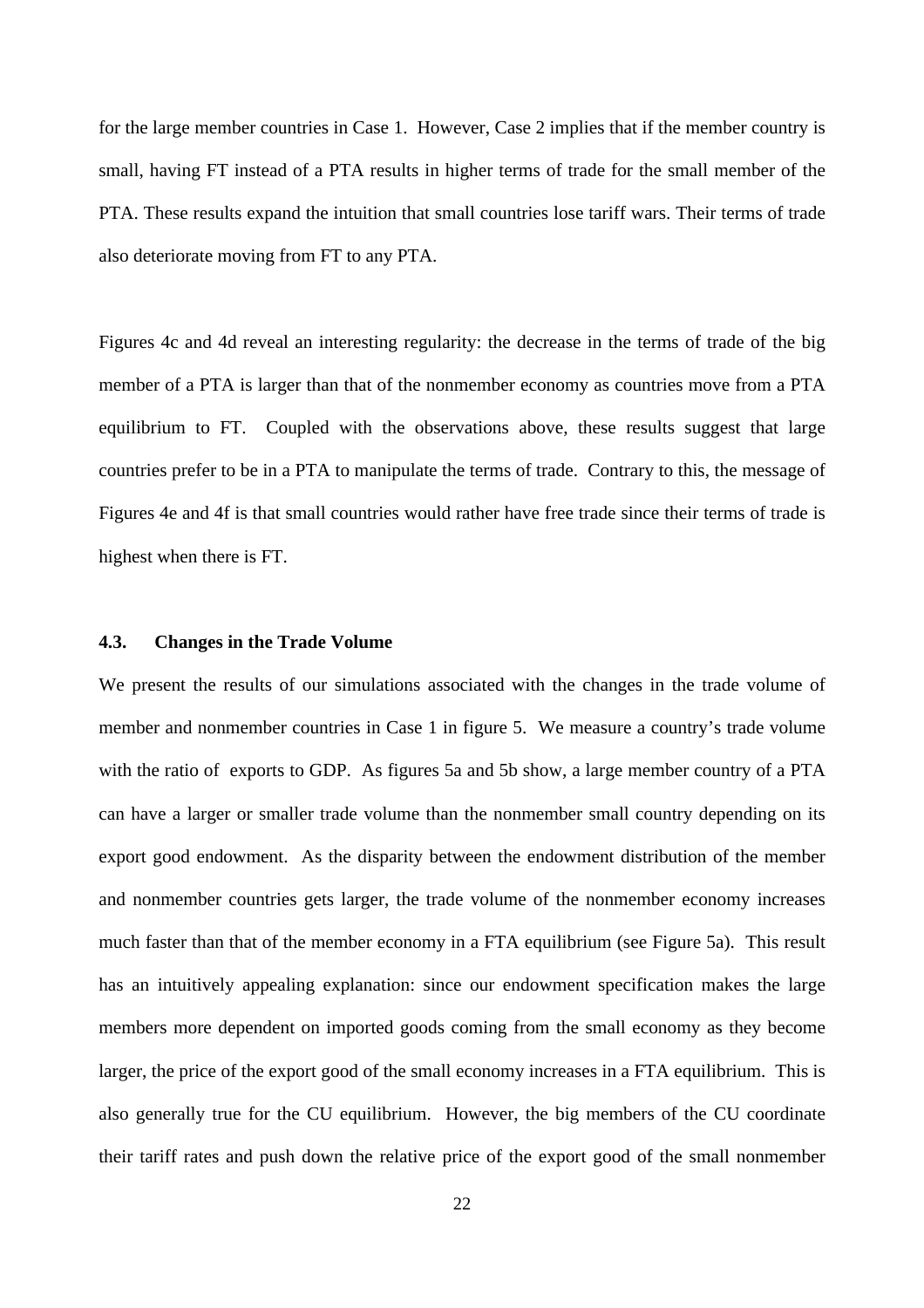for the large member countries in Case 1. However, Case 2 implies that if the member country is small, having FT instead of a PTA results in higher terms of trade for the small member of the PTA. These results expand the intuition that small countries lose tariff wars. Their terms of trade also deteriorate moving from FT to any PTA.

Figures 4c and 4d reveal an interesting regularity: the decrease in the terms of trade of the big member of a PTA is larger than that of the nonmember economy as countries move from a PTA equilibrium to FT. Coupled with the observations above, these results suggest that large countries prefer to be in a PTA to manipulate the terms of trade. Contrary to this, the message of Figures 4e and 4f is that small countries would rather have free trade since their terms of trade is highest when there is FT.

#### **4.3. Changes in the Trade Volume**

We present the results of our simulations associated with the changes in the trade volume of member and nonmember countries in Case 1 in figure 5. We measure a country's trade volume with the ratio of exports to GDP. As figures 5a and 5b show, a large member country of a PTA can have a larger or smaller trade volume than the nonmember small country depending on its export good endowment. As the disparity between the endowment distribution of the member and nonmember countries gets larger, the trade volume of the nonmember economy increases much faster than that of the member economy in a FTA equilibrium (see Figure 5a). This result has an intuitively appealing explanation: since our endowment specification makes the large members more dependent on imported goods coming from the small economy as they become larger, the price of the export good of the small economy increases in a FTA equilibrium. This is also generally true for the CU equilibrium. However, the big members of the CU coordinate their tariff rates and push down the relative price of the export good of the small nonmember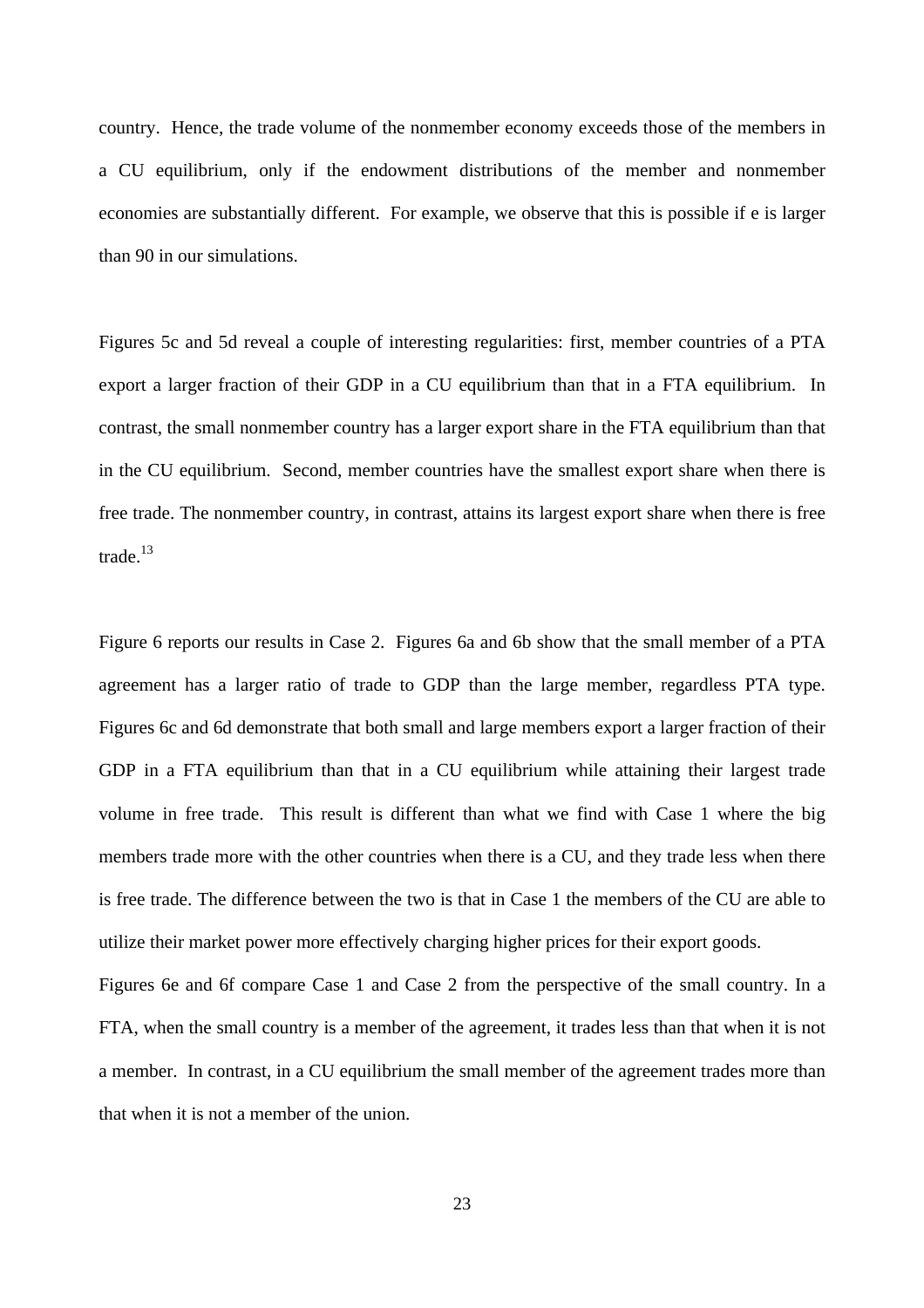country. Hence, the trade volume of the nonmember economy exceeds those of the members in a CU equilibrium, only if the endowment distributions of the member and nonmember economies are substantially different. For example, we observe that this is possible if e is larger than 90 in our simulations.

Figures 5c and 5d reveal a couple of interesting regularities: first, member countries of a PTA export a larger fraction of their GDP in a CU equilibrium than that in a FTA equilibrium. In contrast, the small nonmember country has a larger export share in the FTA equilibrium than that in the CU equilibrium. Second, member countries have the smallest export share when there is free trade. The nonmember country, in contrast, attains its largest export share when there is free trade.<sup>13</sup>

Figure 6 reports our results in Case 2. Figures 6a and 6b show that the small member of a PTA agreement has a larger ratio of trade to GDP than the large member, regardless PTA type. Figures 6c and 6d demonstrate that both small and large members export a larger fraction of their GDP in a FTA equilibrium than that in a CU equilibrium while attaining their largest trade volume in free trade. This result is different than what we find with Case 1 where the big members trade more with the other countries when there is a CU, and they trade less when there is free trade. The difference between the two is that in Case 1 the members of the CU are able to utilize their market power more effectively charging higher prices for their export goods.

Figures 6e and 6f compare Case 1 and Case 2 from the perspective of the small country. In a FTA, when the small country is a member of the agreement, it trades less than that when it is not a member. In contrast, in a CU equilibrium the small member of the agreement trades more than that when it is not a member of the union.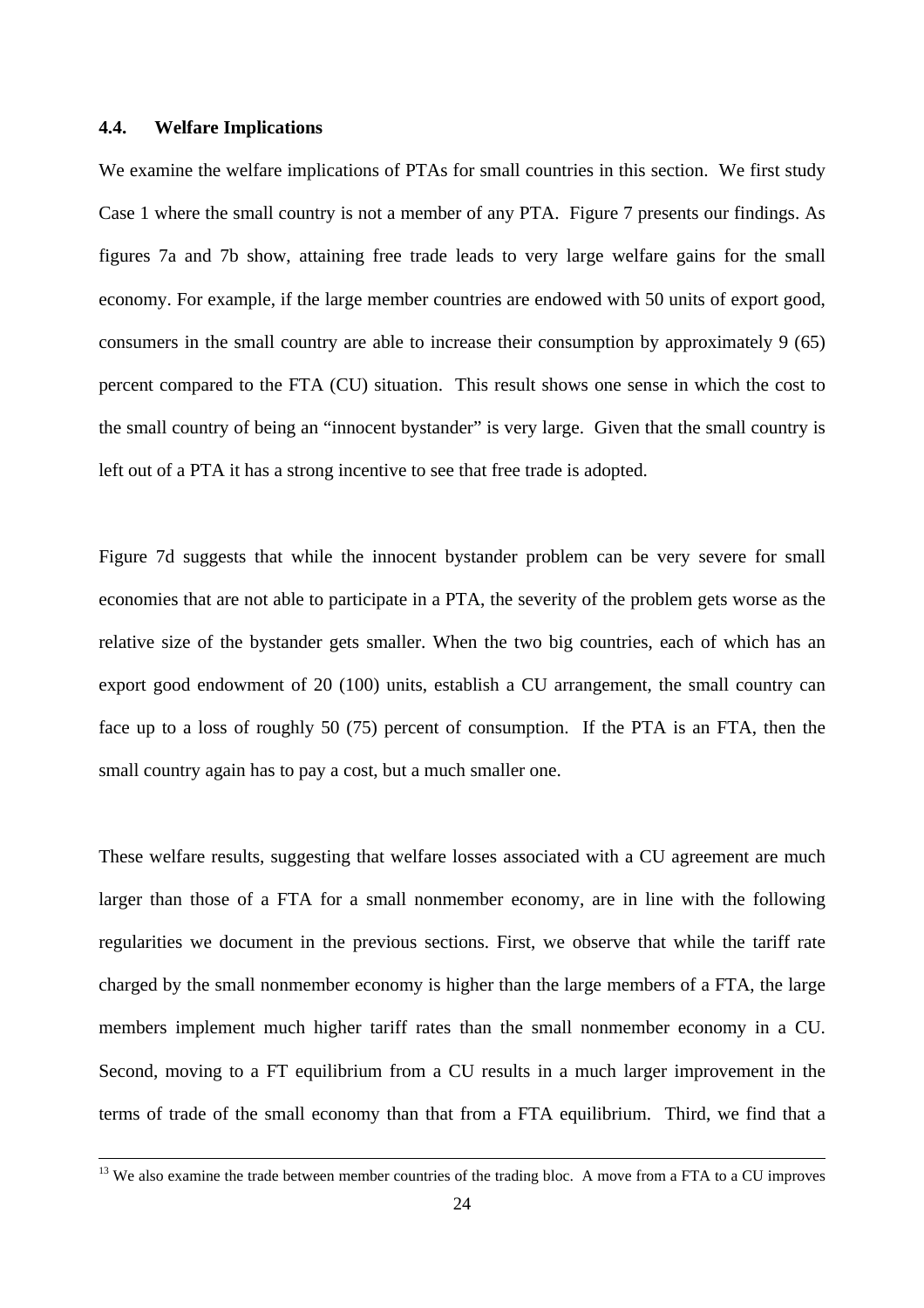#### **4.4. Welfare Implications**

 $\overline{a}$ 

We examine the welfare implications of PTAs for small countries in this section. We first study Case 1 where the small country is not a member of any PTA. Figure 7 presents our findings. As figures 7a and 7b show, attaining free trade leads to very large welfare gains for the small economy. For example, if the large member countries are endowed with 50 units of export good, consumers in the small country are able to increase their consumption by approximately 9 (65) percent compared to the FTA (CU) situation. This result shows one sense in which the cost to the small country of being an "innocent bystander" is very large. Given that the small country is left out of a PTA it has a strong incentive to see that free trade is adopted.

Figure 7d suggests that while the innocent bystander problem can be very severe for small economies that are not able to participate in a PTA, the severity of the problem gets worse as the relative size of the bystander gets smaller. When the two big countries, each of which has an export good endowment of 20 (100) units, establish a CU arrangement, the small country can face up to a loss of roughly 50 (75) percent of consumption. If the PTA is an FTA, then the small country again has to pay a cost, but a much smaller one.

These welfare results, suggesting that welfare losses associated with a CU agreement are much larger than those of a FTA for a small nonmember economy, are in line with the following regularities we document in the previous sections. First, we observe that while the tariff rate charged by the small nonmember economy is higher than the large members of a FTA, the large members implement much higher tariff rates than the small nonmember economy in a CU. Second, moving to a FT equilibrium from a CU results in a much larger improvement in the terms of trade of the small economy than that from a FTA equilibrium. Third, we find that a

<sup>&</sup>lt;sup>13</sup> We also examine the trade between member countries of the trading bloc. A move from a FTA to a CU improves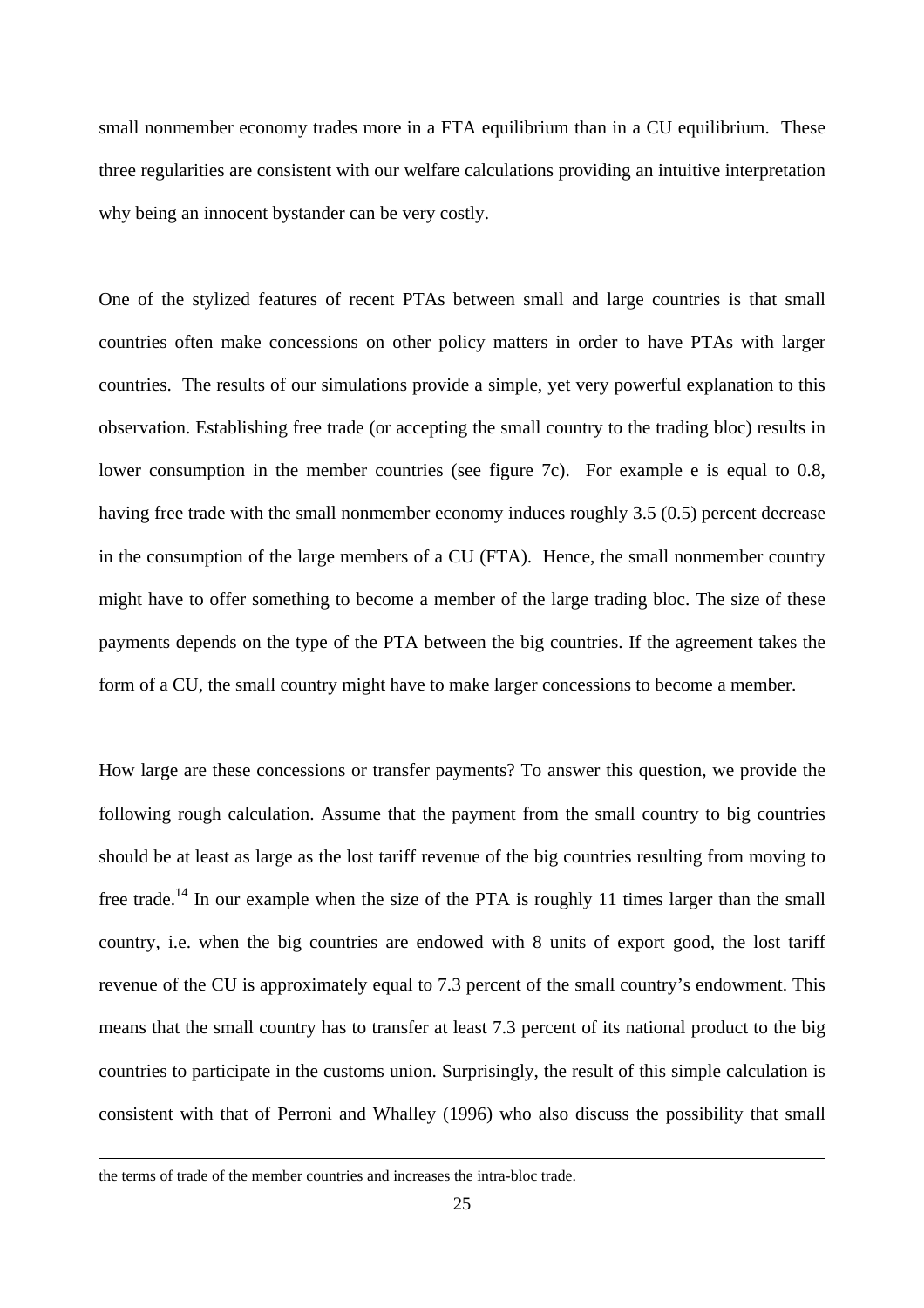small nonmember economy trades more in a FTA equilibrium than in a CU equilibrium. These three regularities are consistent with our welfare calculations providing an intuitive interpretation why being an innocent bystander can be very costly.

One of the stylized features of recent PTAs between small and large countries is that small countries often make concessions on other policy matters in order to have PTAs with larger countries. The results of our simulations provide a simple, yet very powerful explanation to this observation. Establishing free trade (or accepting the small country to the trading bloc) results in lower consumption in the member countries (see figure 7c). For example e is equal to 0.8, having free trade with the small nonmember economy induces roughly 3.5 (0.5) percent decrease in the consumption of the large members of a CU (FTA). Hence, the small nonmember country might have to offer something to become a member of the large trading bloc. The size of these payments depends on the type of the PTA between the big countries. If the agreement takes the form of a CU, the small country might have to make larger concessions to become a member.

How large are these concessions or transfer payments? To answer this question, we provide the following rough calculation. Assume that the payment from the small country to big countries should be at least as large as the lost tariff revenue of the big countries resulting from moving to free trade.<sup>14</sup> In our example when the size of the PTA is roughly 11 times larger than the small country, i.e. when the big countries are endowed with 8 units of export good, the lost tariff revenue of the CU is approximately equal to 7.3 percent of the small country's endowment. This means that the small country has to transfer at least 7.3 percent of its national product to the big countries to participate in the customs union. Surprisingly, the result of this simple calculation is consistent with that of Perroni and Whalley (1996) who also discuss the possibility that small

 $\overline{a}$ 

the terms of trade of the member countries and increases the intra-bloc trade.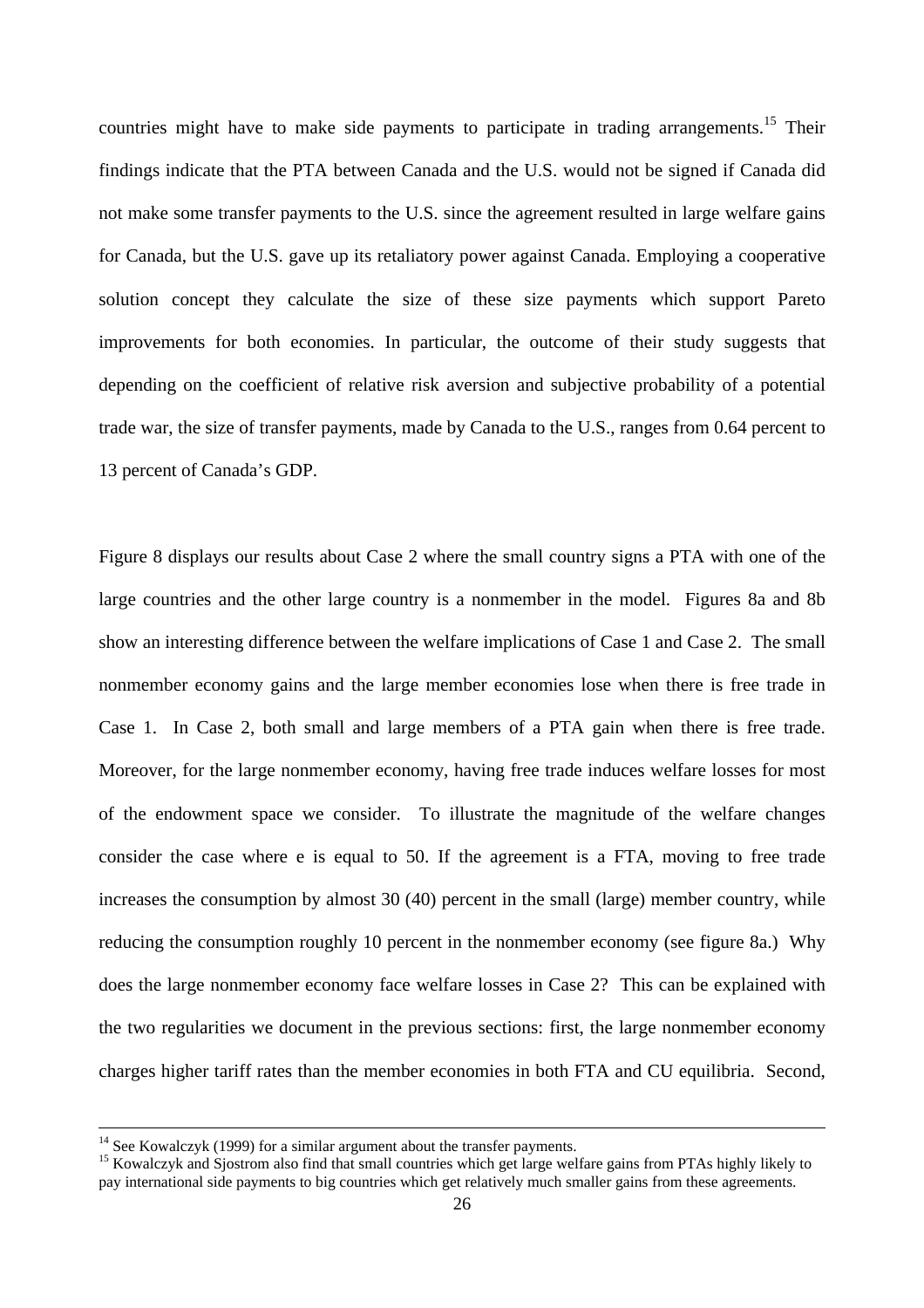countries might have to make side payments to participate in trading arrangements.<sup>15</sup> Their findings indicate that the PTA between Canada and the U.S. would not be signed if Canada did not make some transfer payments to the U.S. since the agreement resulted in large welfare gains for Canada, but the U.S. gave up its retaliatory power against Canada. Employing a cooperative solution concept they calculate the size of these size payments which support Pareto improvements for both economies. In particular, the outcome of their study suggests that depending on the coefficient of relative risk aversion and subjective probability of a potential trade war, the size of transfer payments, made by Canada to the U.S., ranges from 0.64 percent to 13 percent of Canada's GDP.

Figure 8 displays our results about Case 2 where the small country signs a PTA with one of the large countries and the other large country is a nonmember in the model. Figures 8a and 8b show an interesting difference between the welfare implications of Case 1 and Case 2. The small nonmember economy gains and the large member economies lose when there is free trade in Case 1. In Case 2, both small and large members of a PTA gain when there is free trade. Moreover, for the large nonmember economy, having free trade induces welfare losses for most of the endowment space we consider. To illustrate the magnitude of the welfare changes consider the case where e is equal to 50. If the agreement is a FTA, moving to free trade increases the consumption by almost 30 (40) percent in the small (large) member country, while reducing the consumption roughly 10 percent in the nonmember economy (see figure 8a.) Why does the large nonmember economy face welfare losses in Case 2? This can be explained with the two regularities we document in the previous sections: first, the large nonmember economy charges higher tariff rates than the member economies in both FTA and CU equilibria. Second,

 $\overline{a}$ 

 $14$  See Kowalczyk (1999) for a similar argument about the transfer payments.

<sup>&</sup>lt;sup>15</sup> Kowalczyk and Sjostrom also find that small countries which get large welfare gains from PTAs highly likely to pay international side payments to big countries which get relatively much smaller gains from these agreements.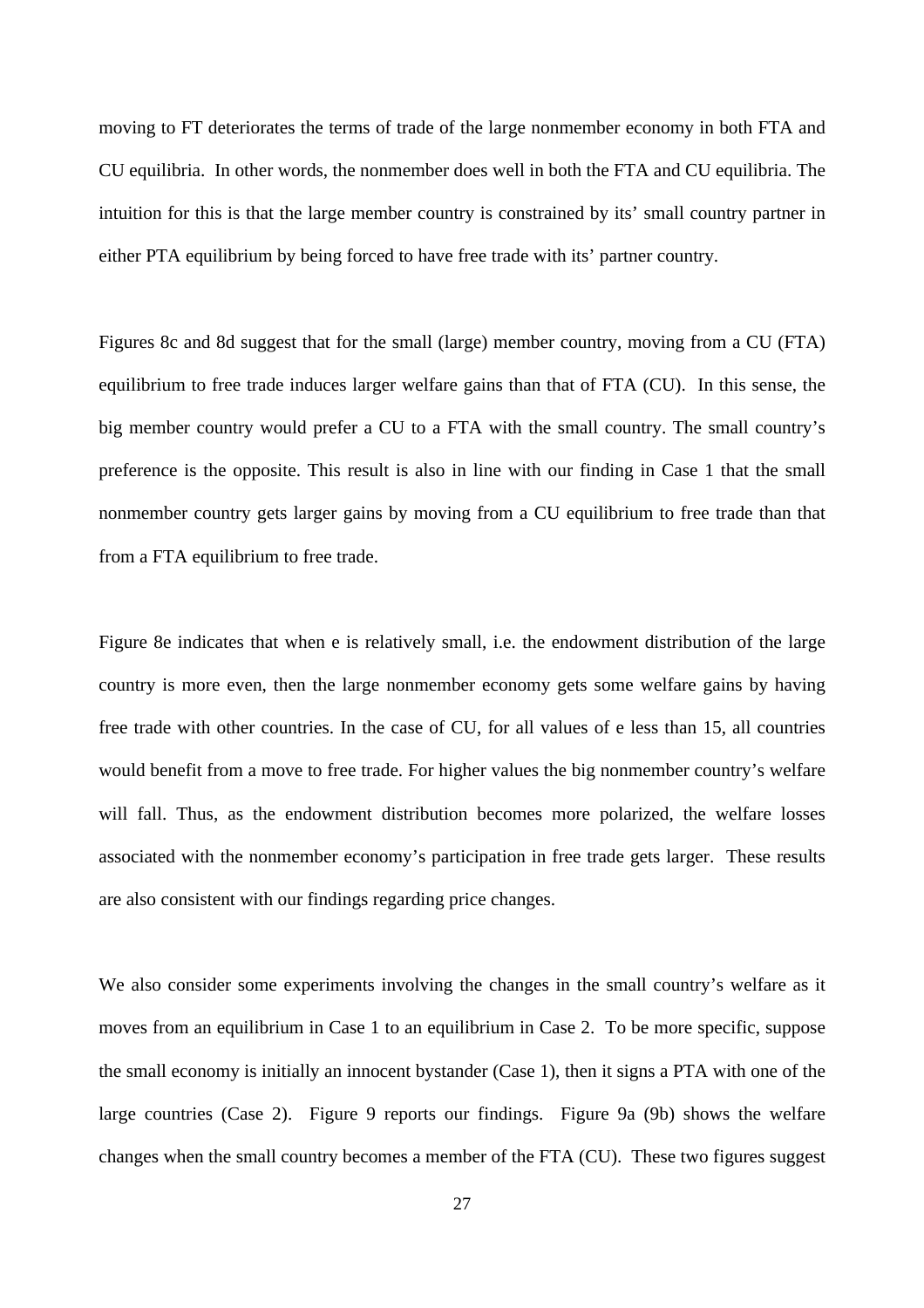moving to FT deteriorates the terms of trade of the large nonmember economy in both FTA and CU equilibria. In other words, the nonmember does well in both the FTA and CU equilibria. The intuition for this is that the large member country is constrained by its' small country partner in either PTA equilibrium by being forced to have free trade with its' partner country.

Figures 8c and 8d suggest that for the small (large) member country, moving from a CU (FTA) equilibrium to free trade induces larger welfare gains than that of FTA (CU). In this sense, the big member country would prefer a CU to a FTA with the small country. The small country's preference is the opposite. This result is also in line with our finding in Case 1 that the small nonmember country gets larger gains by moving from a CU equilibrium to free trade than that from a FTA equilibrium to free trade.

Figure 8e indicates that when e is relatively small, i.e. the endowment distribution of the large country is more even, then the large nonmember economy gets some welfare gains by having free trade with other countries. In the case of CU, for all values of e less than 15, all countries would benefit from a move to free trade. For higher values the big nonmember country's welfare will fall. Thus, as the endowment distribution becomes more polarized, the welfare losses associated with the nonmember economy's participation in free trade gets larger. These results are also consistent with our findings regarding price changes.

We also consider some experiments involving the changes in the small country's welfare as it moves from an equilibrium in Case 1 to an equilibrium in Case 2. To be more specific, suppose the small economy is initially an innocent bystander (Case 1), then it signs a PTA with one of the large countries (Case 2). Figure 9 reports our findings. Figure 9a (9b) shows the welfare changes when the small country becomes a member of the FTA (CU). These two figures suggest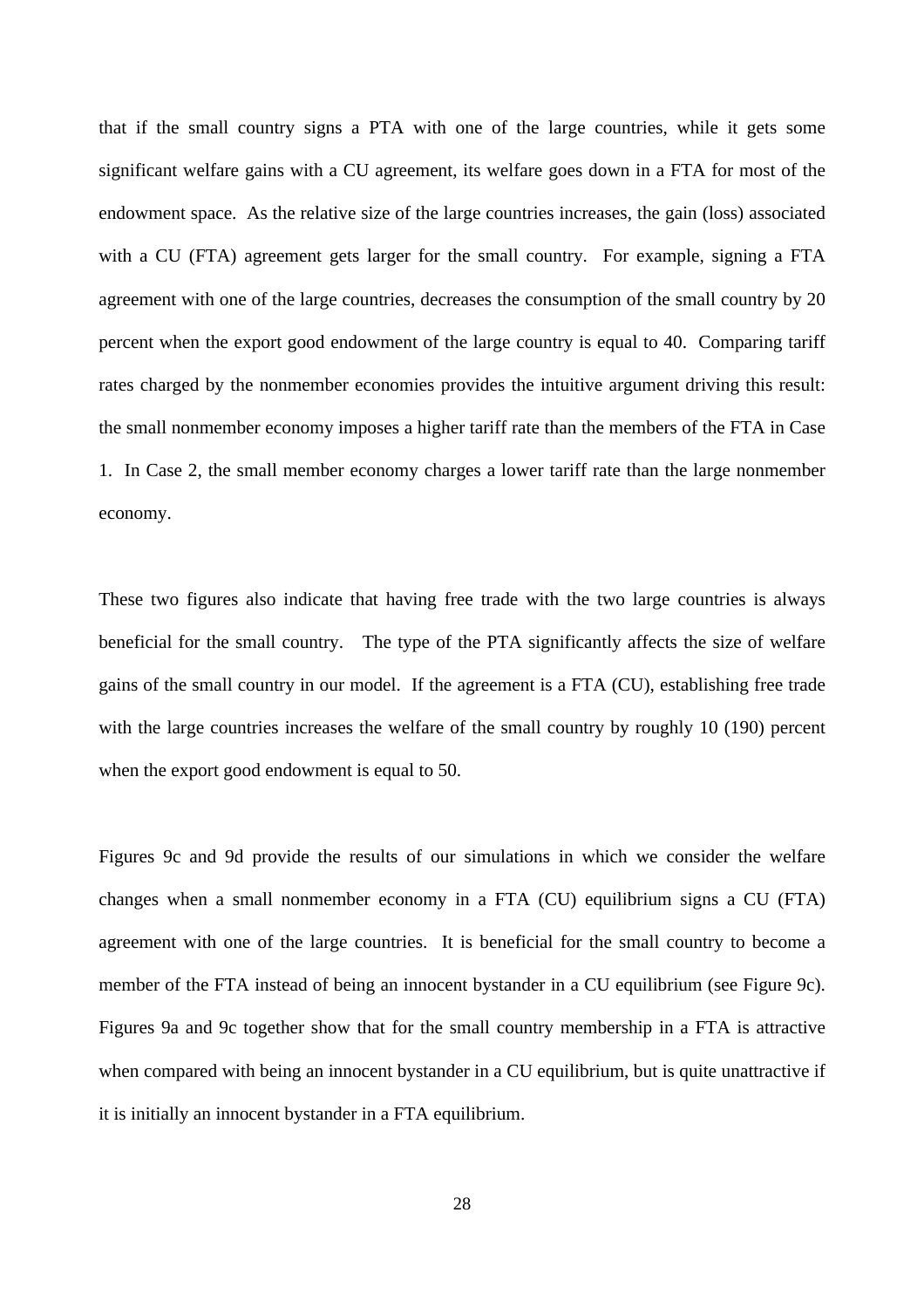that if the small country signs a PTA with one of the large countries, while it gets some significant welfare gains with a CU agreement, its welfare goes down in a FTA for most of the endowment space. As the relative size of the large countries increases, the gain (loss) associated with a CU (FTA) agreement gets larger for the small country. For example, signing a FTA agreement with one of the large countries, decreases the consumption of the small country by 20 percent when the export good endowment of the large country is equal to 40. Comparing tariff rates charged by the nonmember economies provides the intuitive argument driving this result: the small nonmember economy imposes a higher tariff rate than the members of the FTA in Case 1. In Case 2, the small member economy charges a lower tariff rate than the large nonmember economy.

These two figures also indicate that having free trade with the two large countries is always beneficial for the small country. The type of the PTA significantly affects the size of welfare gains of the small country in our model. If the agreement is a FTA (CU), establishing free trade with the large countries increases the welfare of the small country by roughly 10 (190) percent when the export good endowment is equal to 50.

Figures 9c and 9d provide the results of our simulations in which we consider the welfare changes when a small nonmember economy in a FTA (CU) equilibrium signs a CU (FTA) agreement with one of the large countries. It is beneficial for the small country to become a member of the FTA instead of being an innocent bystander in a CU equilibrium (see Figure 9c). Figures 9a and 9c together show that for the small country membership in a FTA is attractive when compared with being an innocent bystander in a CU equilibrium, but is quite unattractive if it is initially an innocent bystander in a FTA equilibrium.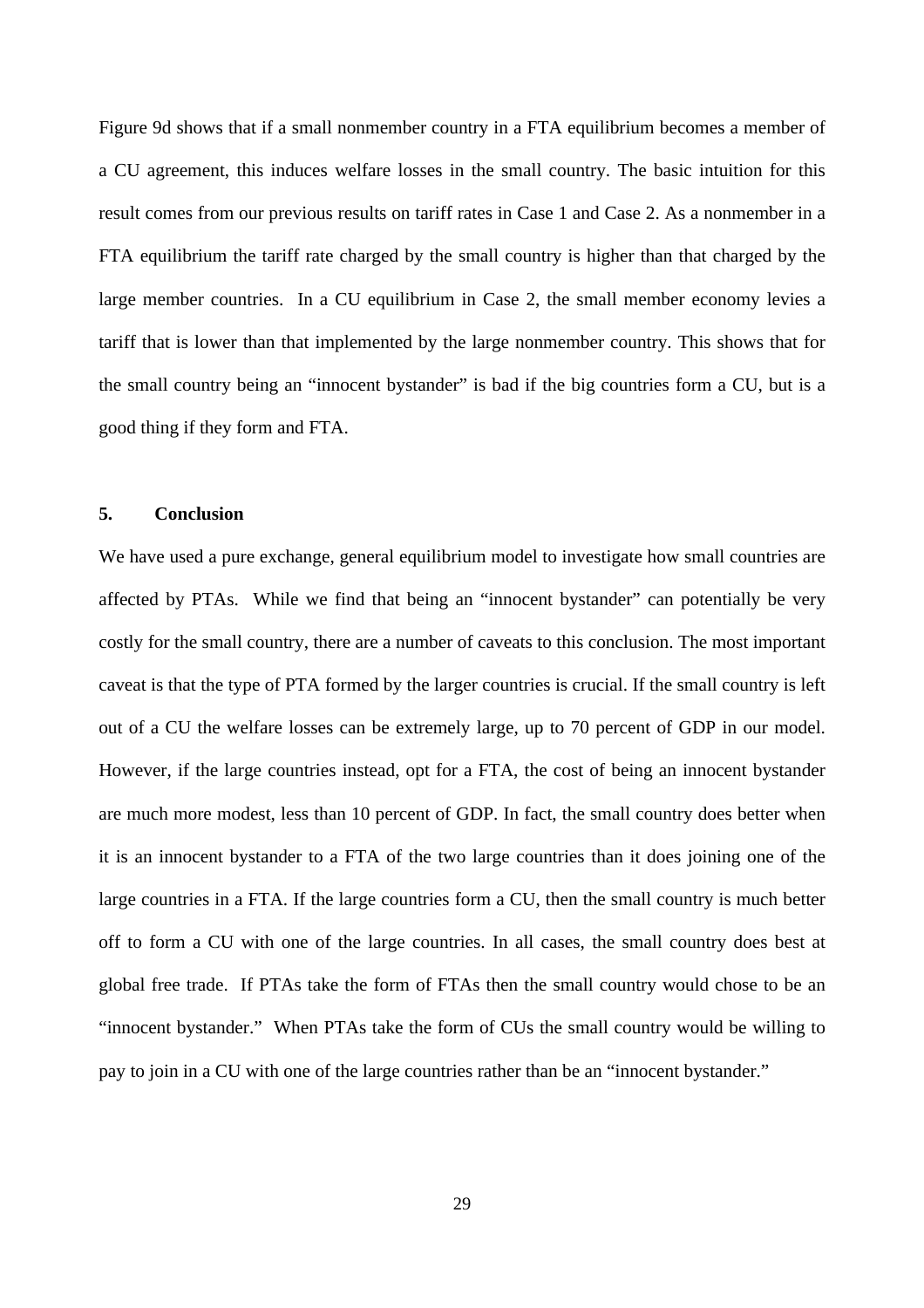Figure 9d shows that if a small nonmember country in a FTA equilibrium becomes a member of a CU agreement, this induces welfare losses in the small country. The basic intuition for this result comes from our previous results on tariff rates in Case 1 and Case 2. As a nonmember in a FTA equilibrium the tariff rate charged by the small country is higher than that charged by the large member countries. In a CU equilibrium in Case 2, the small member economy levies a tariff that is lower than that implemented by the large nonmember country. This shows that for the small country being an "innocent bystander" is bad if the big countries form a CU, but is a good thing if they form and FTA.

#### **5. Conclusion**

We have used a pure exchange, general equilibrium model to investigate how small countries are affected by PTAs. While we find that being an "innocent bystander" can potentially be very costly for the small country, there are a number of caveats to this conclusion. The most important caveat is that the type of PTA formed by the larger countries is crucial. If the small country is left out of a CU the welfare losses can be extremely large, up to 70 percent of GDP in our model. However, if the large countries instead, opt for a FTA, the cost of being an innocent bystander are much more modest, less than 10 percent of GDP. In fact, the small country does better when it is an innocent bystander to a FTA of the two large countries than it does joining one of the large countries in a FTA. If the large countries form a CU, then the small country is much better off to form a CU with one of the large countries. In all cases, the small country does best at global free trade. If PTAs take the form of FTAs then the small country would chose to be an "innocent bystander." When PTAs take the form of CUs the small country would be willing to pay to join in a CU with one of the large countries rather than be an "innocent bystander."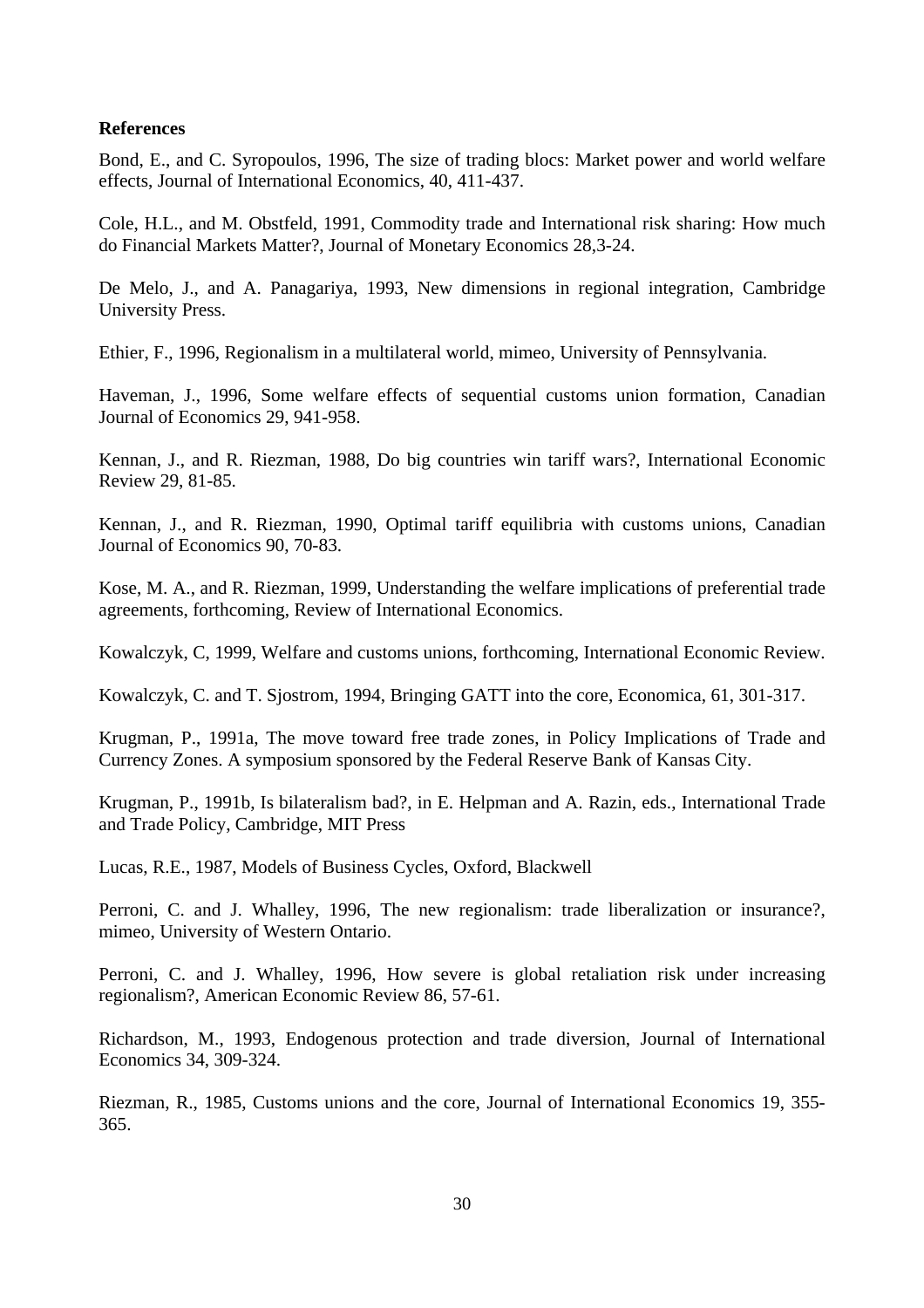#### **References**

Bond, E., and C. Syropoulos, 1996, The size of trading blocs: Market power and world welfare effects, Journal of International Economics, 40, 411-437.

Cole, H.L., and M. Obstfeld, 1991, Commodity trade and International risk sharing: How much do Financial Markets Matter?, Journal of Monetary Economics 28,3-24.

De Melo, J., and A. Panagariya, 1993, New dimensions in regional integration, Cambridge University Press.

Ethier, F., 1996, Regionalism in a multilateral world, mimeo, University of Pennsylvania.

Haveman, J., 1996, Some welfare effects of sequential customs union formation, Canadian Journal of Economics 29, 941-958.

Kennan, J., and R. Riezman, 1988, Do big countries win tariff wars?, International Economic Review 29, 81-85.

Kennan, J., and R. Riezman, 1990, Optimal tariff equilibria with customs unions, Canadian Journal of Economics 90, 70-83.

Kose, M. A., and R. Riezman, 1999, Understanding the welfare implications of preferential trade agreements, forthcoming, Review of International Economics.

Kowalczyk, C, 1999, Welfare and customs unions, forthcoming, International Economic Review.

Kowalczyk, C. and T. Sjostrom, 1994, Bringing GATT into the core, Economica, 61, 301-317.

Krugman, P., 1991a, The move toward free trade zones, in Policy Implications of Trade and Currency Zones. A symposium sponsored by the Federal Reserve Bank of Kansas City.

Krugman, P., 1991b, Is bilateralism bad?, in E. Helpman and A. Razin, eds., International Trade and Trade Policy, Cambridge, MIT Press

Lucas, R.E., 1987, Models of Business Cycles, Oxford, Blackwell

Perroni, C. and J. Whalley, 1996, The new regionalism: trade liberalization or insurance?, mimeo, University of Western Ontario.

Perroni, C. and J. Whalley, 1996, How severe is global retaliation risk under increasing regionalism?, American Economic Review 86, 57-61.

Richardson, M., 1993, Endogenous protection and trade diversion, Journal of International Economics 34, 309-324.

Riezman, R., 1985, Customs unions and the core, Journal of International Economics 19, 355- 365.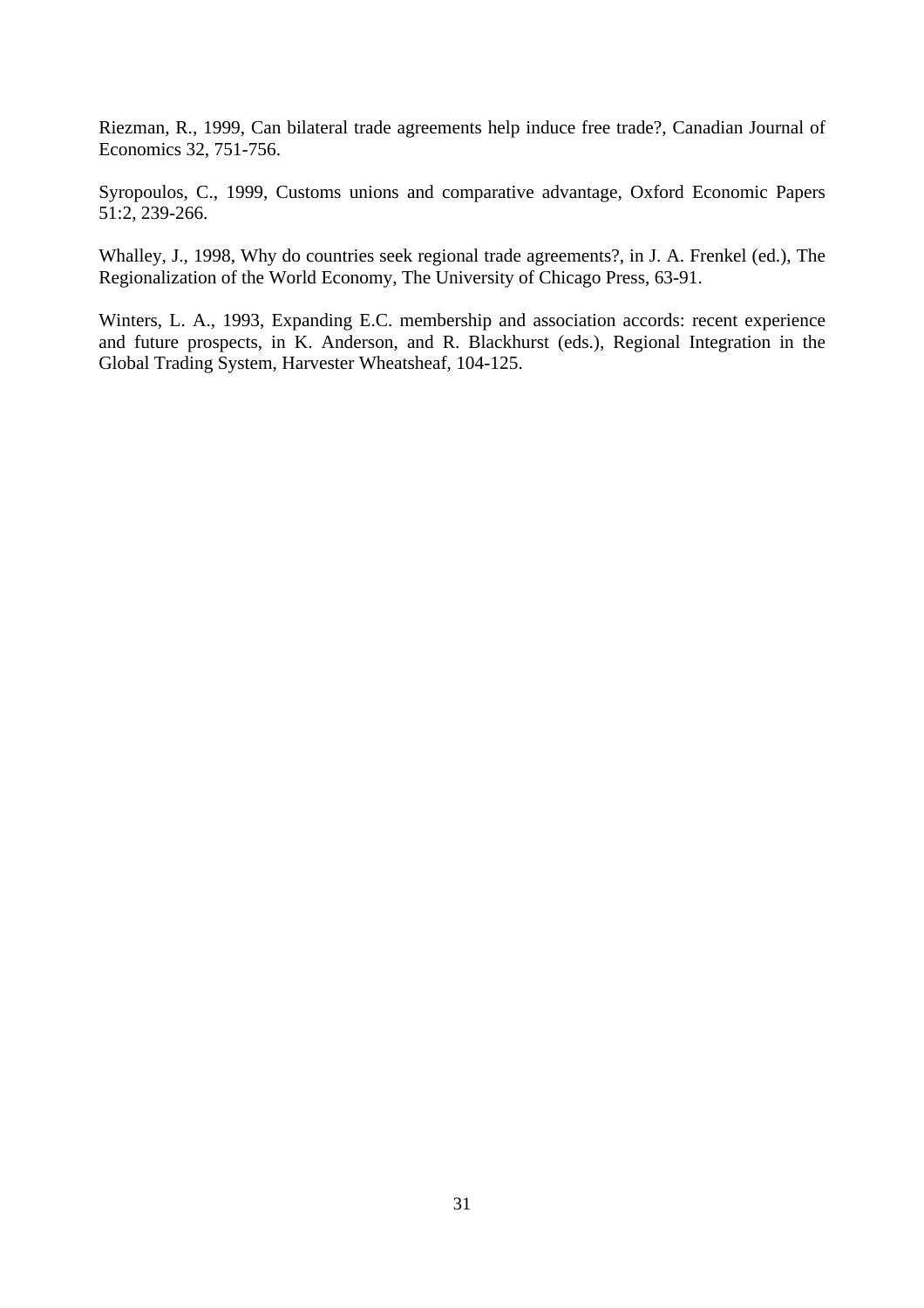Riezman, R., 1999, Can bilateral trade agreements help induce free trade?, Canadian Journal of Economics 32, 751-756.

Syropoulos, C., 1999, Customs unions and comparative advantage, Oxford Economic Papers 51:2, 239-266.

Whalley, J., 1998, Why do countries seek regional trade agreements?, in J. A. Frenkel (ed.), The Regionalization of the World Economy, The University of Chicago Press, 63-91.

Winters, L. A., 1993, Expanding E.C. membership and association accords: recent experience and future prospects, in K. Anderson, and R. Blackhurst (eds.), Regional Integration in the Global Trading System, Harvester Wheatsheaf, 104-125.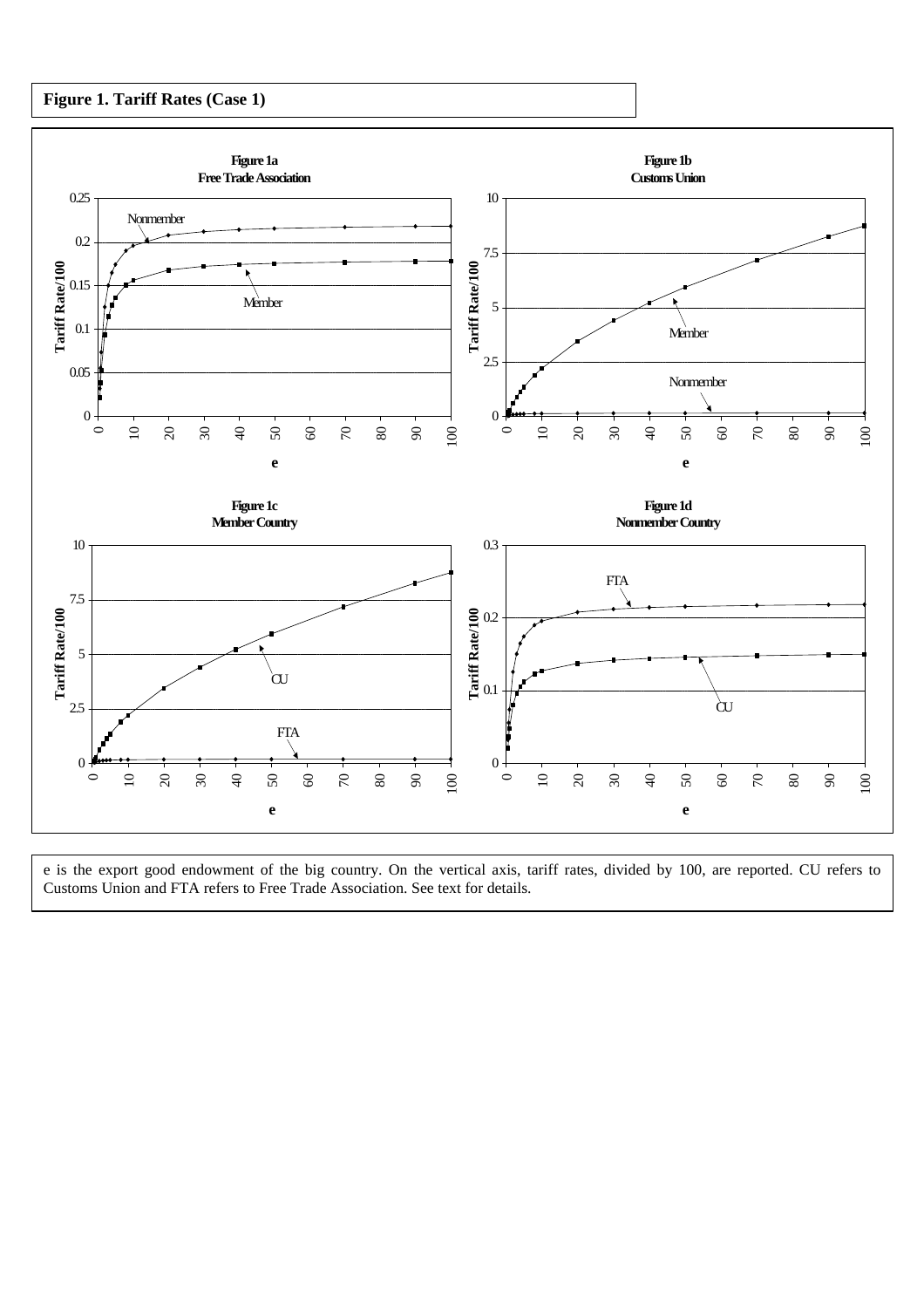#### **Figure 1. Tariff Rates (Case 1)**



e is the export good endowment of the big country. On the vertical axis, tariff rates, divided by 100, are reported. CU refers to Customs Union and FTA refers to Free Trade Association. See text for details.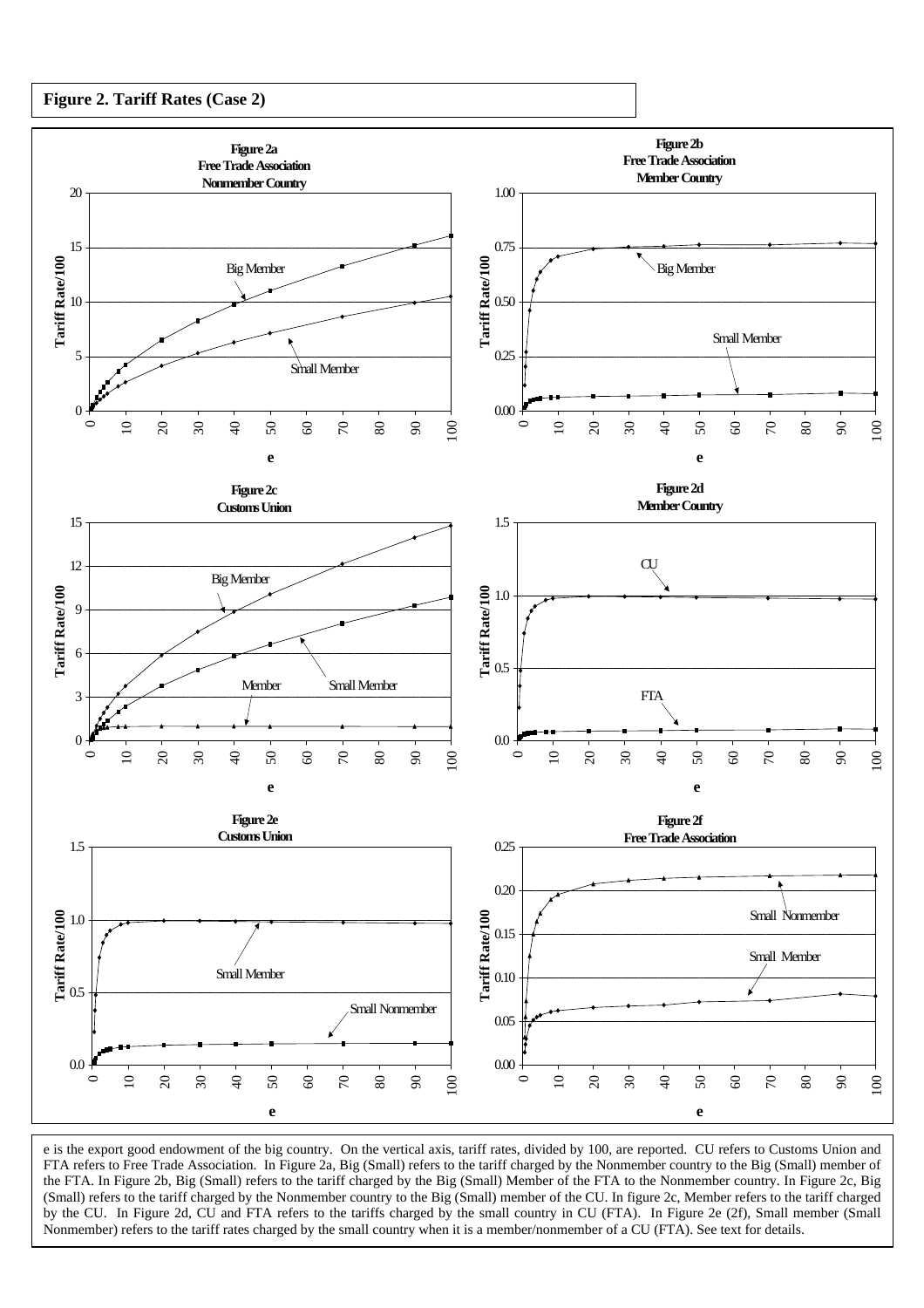



e is the export good endowment of the big country. On the vertical axis, tariff rates, divided by 100, are reported. CU refers to Customs Union and FTA refers to Free Trade Association. In Figure 2a, Big (Small) refers to the tariff charged by the Nonmember country to the Big (Small) member of the FTA. In Figure 2b, Big (Small) refers to the tariff charged by the Big (Small) Member of the FTA to the Nonmember country. In Figure 2c, Big (Small) refers to the tariff charged by the Nonmember country to the Big (Small) member of the CU. In figure 2c, Member refers to the tariff charged by the CU. In Figure 2d, CU and FTA refers to the tariffs charged by the small country in CU (FTA). In Figure 2e (2f), Small member (Small Nonmember) refers to the tariff rates charged by the small country when it is a member/nonmember of a CU (FTA). See text for details.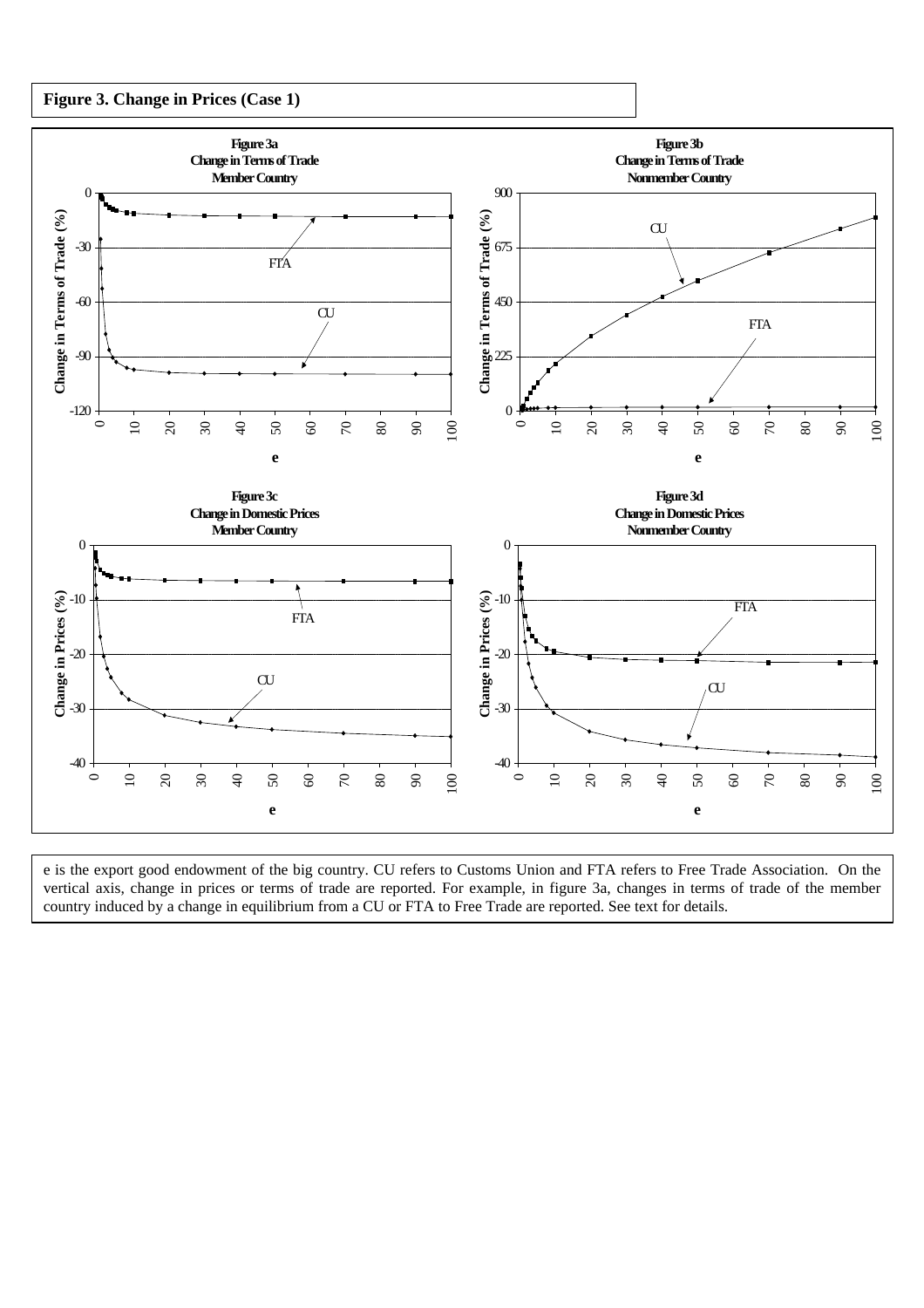



e is the export good endowment of the big country. CU refers to Customs Union and FTA refers to Free Trade Association. On the vertical axis, change in prices or terms of trade are reported. For example, in figure 3a, changes in terms of trade of the member country induced by a change in equilibrium from a CU or FTA to Free Trade are reported. See text for details.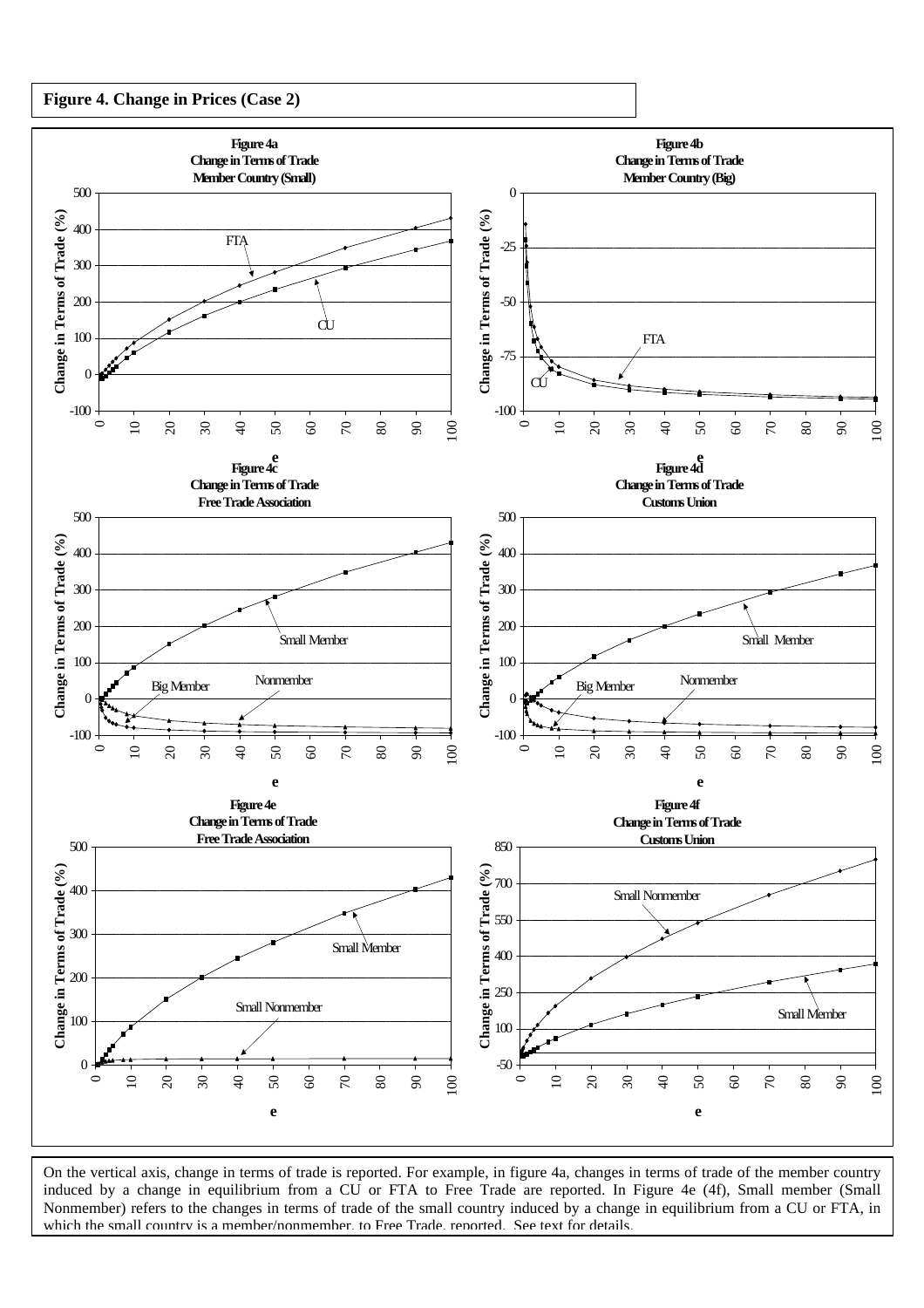



On the vertical axis, change in terms of trade is reported. For example, in figure 4a, changes in terms of trade of the member country induced by a change in equilibrium from a CU or FTA to Free Trade are reported. In Figure 4e (4f), Small member (Small Nonmember) refers to the changes in terms of trade of the small country induced by a change in equilibrium from a CU or FTA, in which the small country is a member/nonmember, to Free Trade, reported. See text for details.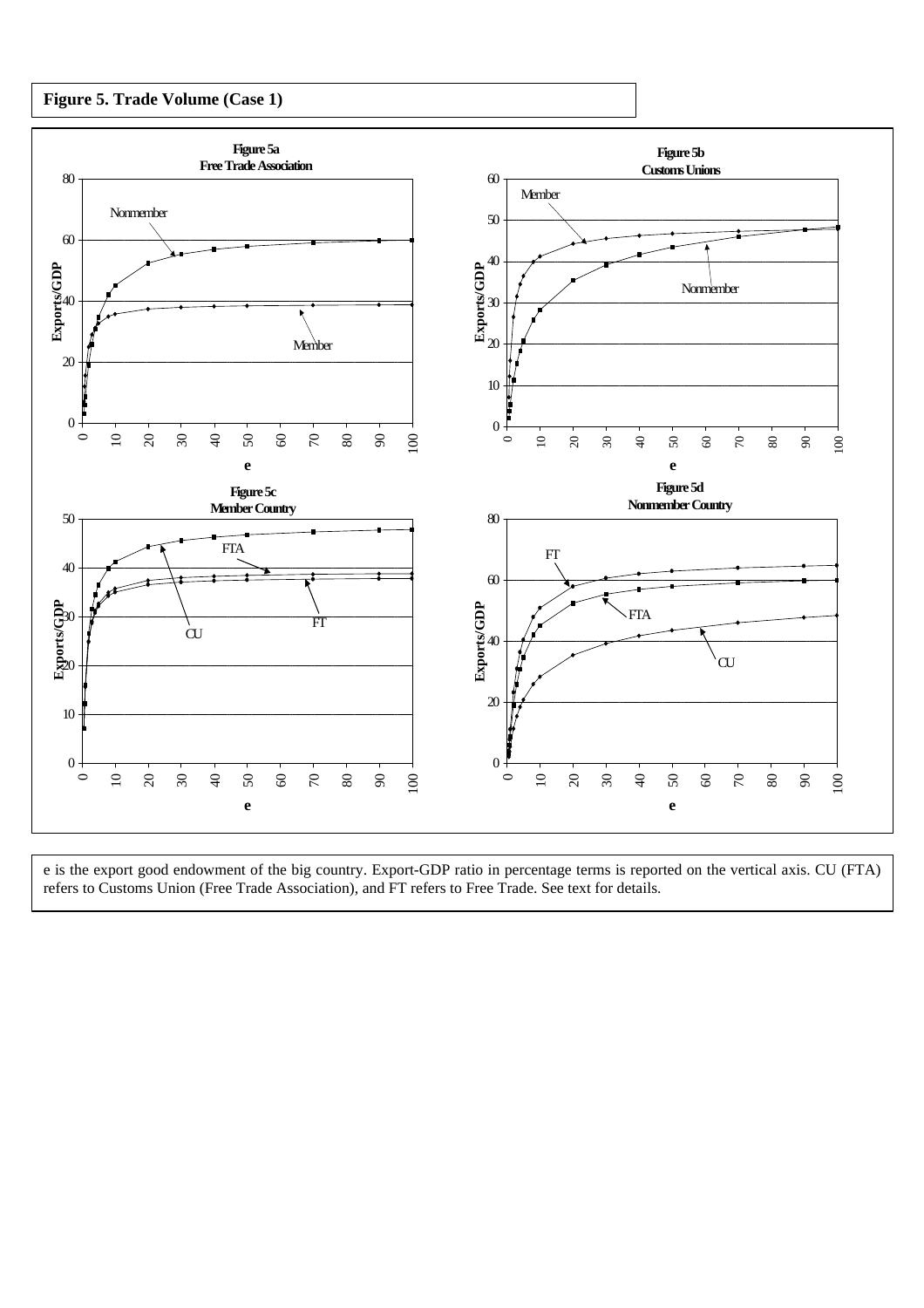



e is the export good endowment of the big country. Export-GDP ratio in percentage terms is reported on the vertical axis. CU (FTA) refers to Customs Union (Free Trade Association), and FT refers to Free Trade. See text for details.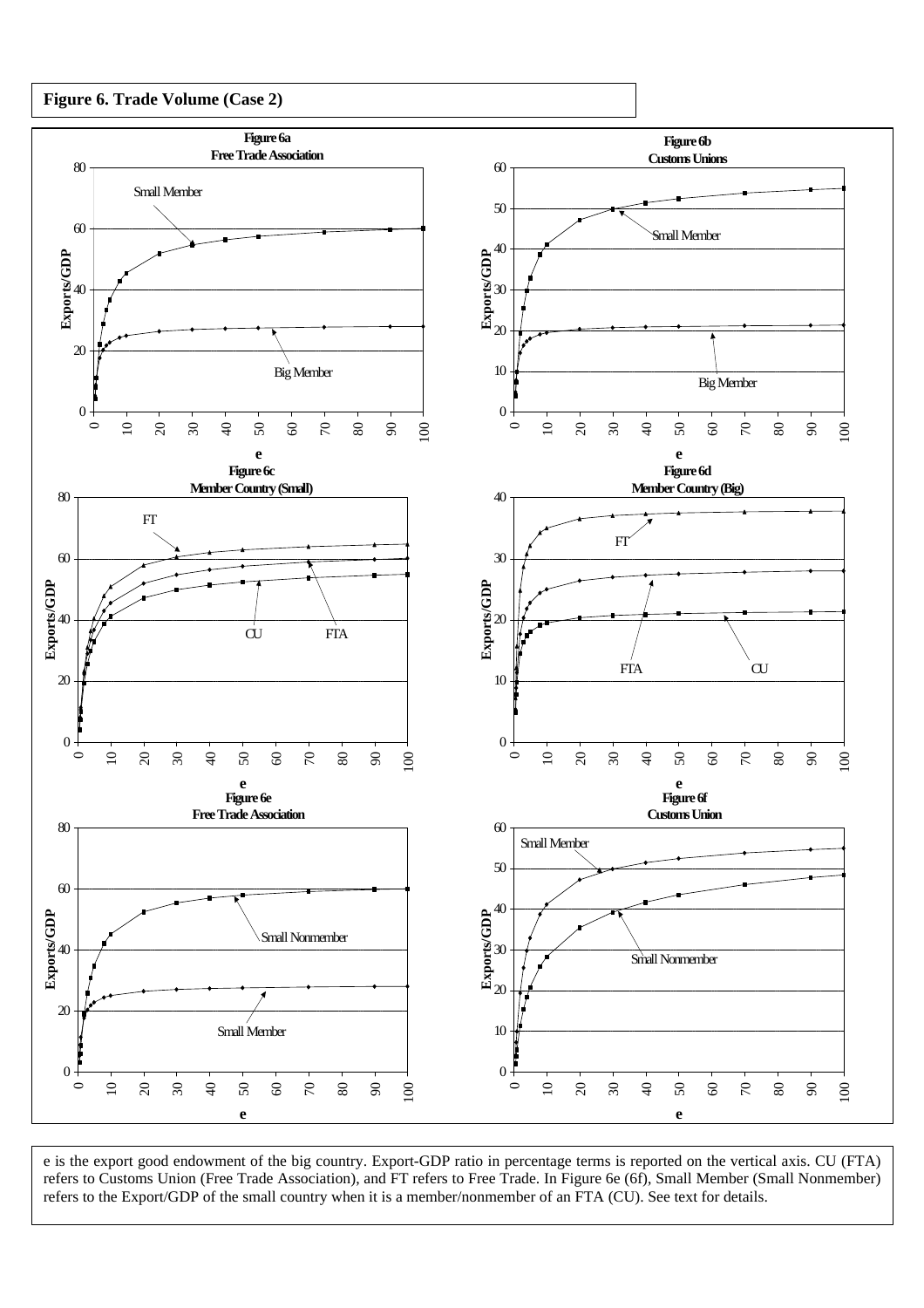



e is the export good endowment of the big country. Export-GDP ratio in percentage terms is reported on the vertical axis. CU (FTA) refers to Customs Union (Free Trade Association), and FT refers to Free Trade. In Figure 6e (6f), Small Member (Small Nonmember) refers to the Export/GDP of the small country when it is a member/nonmember of an FTA (CU). See text for details.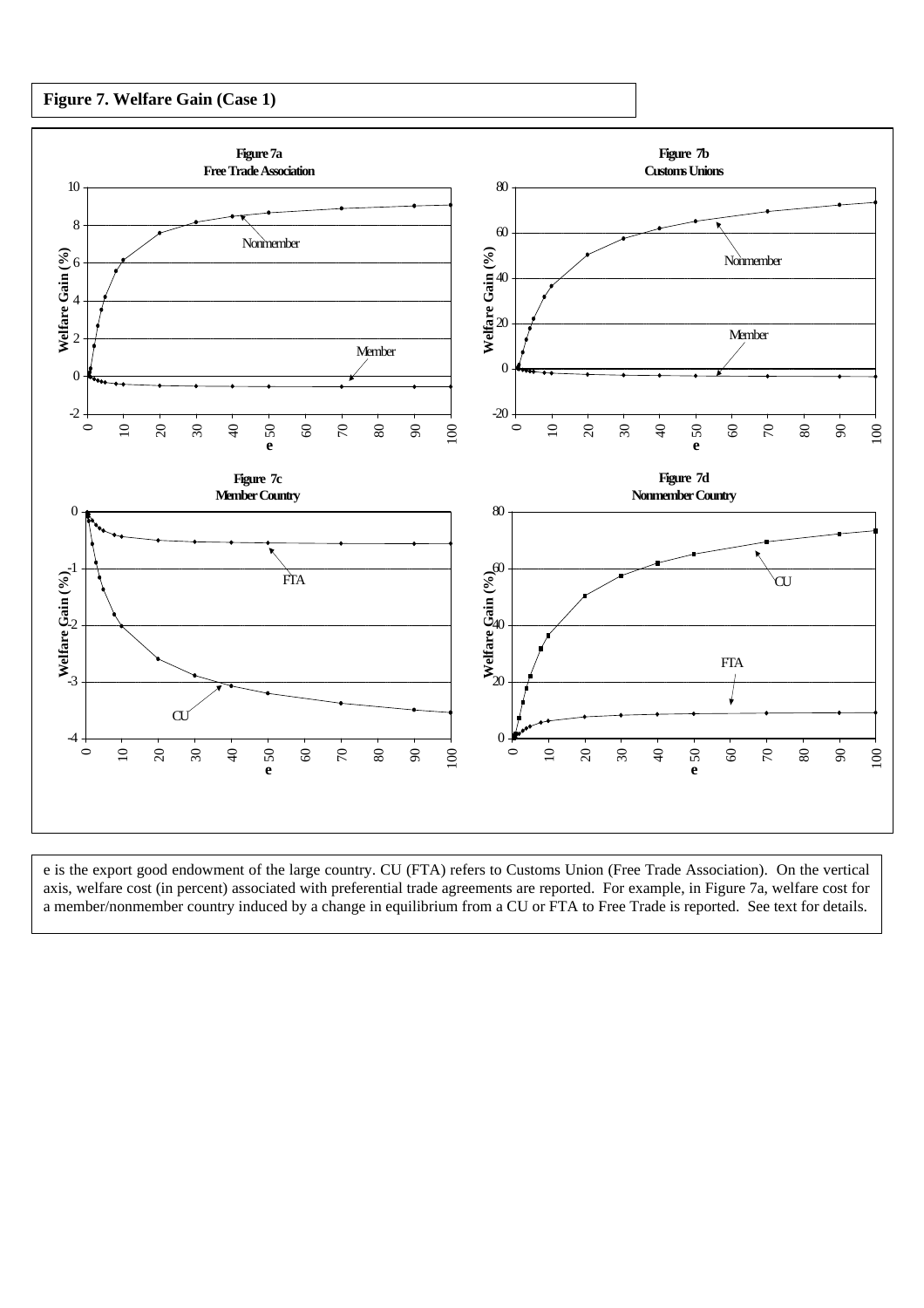#### **Figure 7. Welfare Gain (Case 1)**



e is the export good endowment of the large country. CU (FTA) refers to Customs Union (Free Trade Association). On the vertical axis, welfare cost (in percent) associated with preferential trade agreements are reported. For example, in Figure 7a, welfare cost for a member/nonmember country induced by a change in equilibrium from a CU or FTA to Free Trade is reported. See text for details.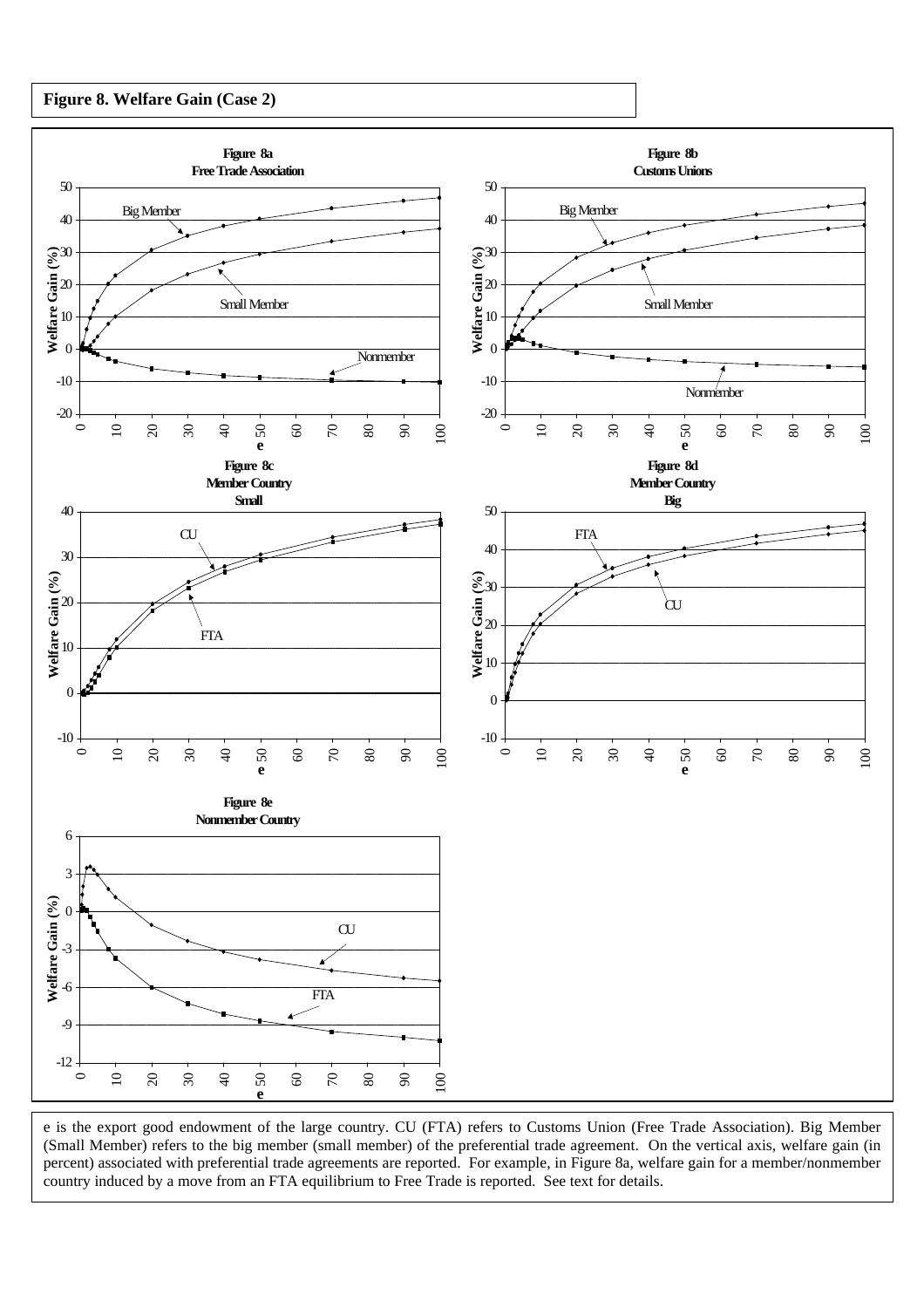#### **Figure 8. Welfare Gain (Case 2)**



e is the export good endowment of the large country. CU (FTA) refers to Customs Union (Free Trade Association). Big Member (Small Member) refers to the big member (small member) of the preferential trade agreement. On the vertical axis, welfare gain (in percent) associated with preferential trade agreements are reported. For example, in Figure 8a, welfare gain for a member/nonmember country induced by a move from an FTA equilibrium to Free Trade is reported. See text for details.